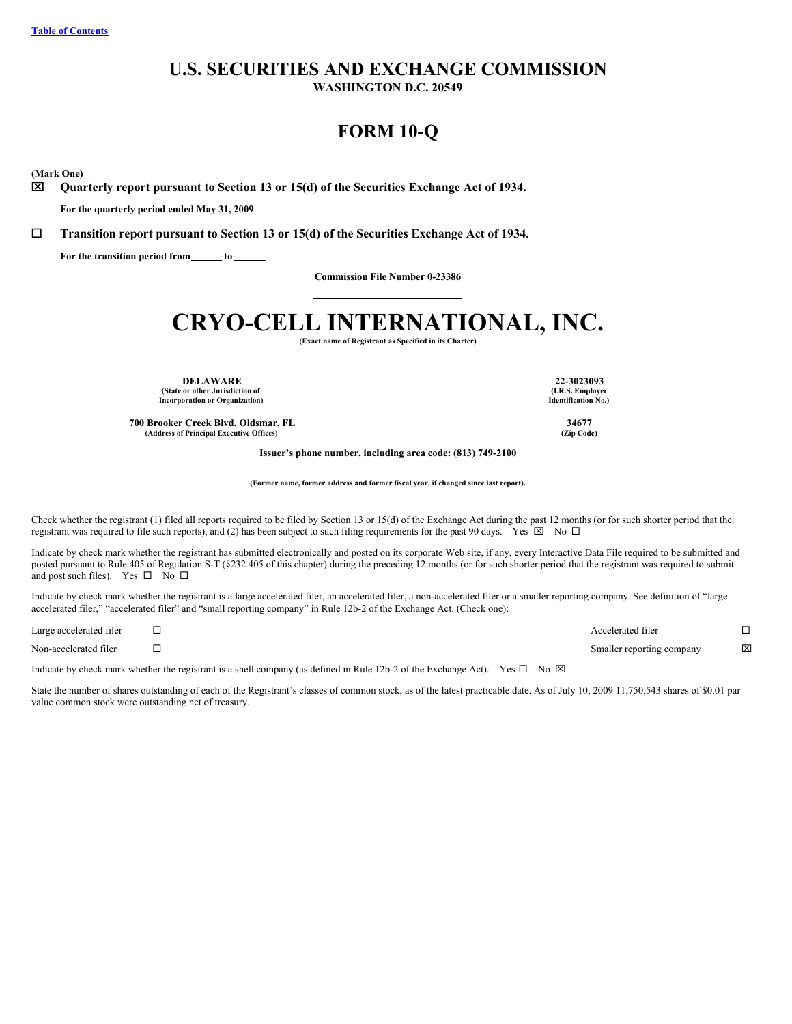# **U.S. SECURITIES AND EXCHANGE COMMISSION**

**WASHINGTON D.C. 20549**

# **FORM 10-Q**

**(Mark One)**

x **Quarterly report pursuant to Section 13 or 15(d) of the Securities Exchange Act of 1934.**

**For the quarterly period ended May 31, 2009**

¨ **Transition report pursuant to Section 13 or 15(d) of the Securities Exchange Act of 1934.**

**For the transition period from to**

**Commission File Number 0-23386**

# **CRYO-CELL INTERNATIONAL, INC.**

**(Exact name of Registrant as Specified in its Charter)**

**DELAWARE 22-3023093 (State or other Jurisdiction of Incorporation or Organization)**

**700 Brooker Creek Blvd. Oldsmar, FL 34677 (Address of Principal Executive Offices) (Zip Code)**

**Issuer's phone number, including area code: (813) 749-2100**

**(Former name, former address and former fiscal year, if changed since last report).**

Check whether the registrant (1) filed all reports required to be filed by Section 13 or 15(d) of the Exchange Act during the past 12 months (or for such shorter period that the registrant was required to file such reports), and (2) has been subject to such filing requirements for the past 90 days. Yes  $\boxtimes$  No  $\Box$ 

Indicate by check mark whether the registrant has submitted electronically and posted on its corporate Web site, if any, every Interactive Data File required to be submitted and posted pursuant to Rule 405 of Regulation S-T (§232.405 of this chapter) during the preceding 12 months (or for such shorter period that the registrant was required to submit and post such files). Yes  $\square$  No  $\square$ 

Indicate by check mark whether the registrant is a large accelerated filer, an accelerated filer, a non-accelerated filer or a smaller reporting company. See definition of "large accelerated filer," "accelerated filer" and "small reporting company" in Rule 12b-2 of the Exchange Act. (Check one):

Large accelerated filer  $\Box$ Non-accelerated filer ¨ Smaller reporting company x

Indicate by check mark whether the registrant is a shell company (as defined in Rule 12b-2 of the Exchange Act). Yes  $\Box$  No  $\boxtimes$ 

State the number of shares outstanding of each of the Registrant's classes of common stock, as of the latest practicable date. As of July 10, 2009 11,750,543 shares of \$0.01 par value common stock were outstanding net of treasury.

**(I.R.S. Employer Identification No.)**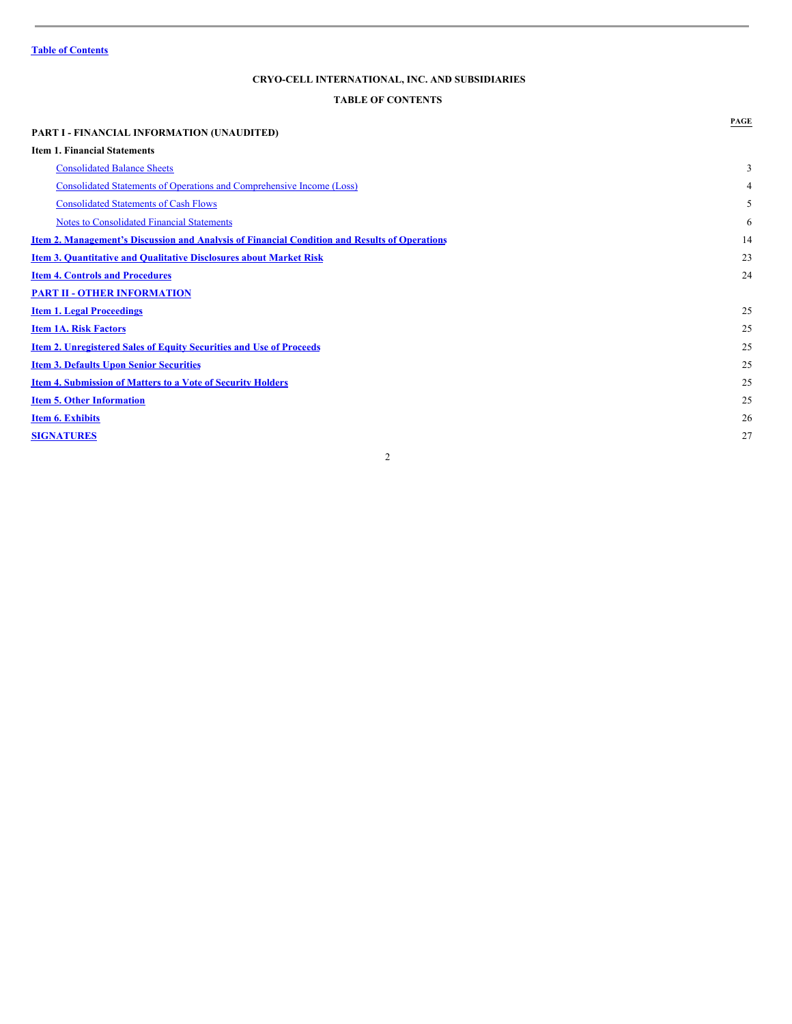# <span id="page-1-0"></span>**TABLE OF CONTENTS**

| <b>PART I - FINANCIAL INFORMATION (UNAUDITED)</b>                                                    | PAGE |
|------------------------------------------------------------------------------------------------------|------|
| <b>Item 1. Financial Statements</b>                                                                  |      |
|                                                                                                      |      |
| <b>Consolidated Balance Sheets</b>                                                                   | 3    |
| Consolidated Statements of Operations and Comprehensive Income (Loss)                                | 4    |
| <b>Consolidated Statements of Cash Flows</b>                                                         | 5    |
| <b>Notes to Consolidated Financial Statements</b>                                                    | 6    |
| <u>Item 2. Management's Discussion and Analysis of Financial Condition and Results of Operations</u> | 14   |
| <b>Item 3. Quantitative and Qualitative Disclosures about Market Risk</b>                            | 23   |
| <b>Item 4. Controls and Procedures</b>                                                               | 24   |
| <b>PART II - OTHER INFORMATION</b>                                                                   |      |
| <b>Item 1. Legal Proceedings</b>                                                                     | 25   |
| <b>Item 1A. Risk Factors</b>                                                                         | 25   |
| <b>Item 2. Unregistered Sales of Equity Securities and Use of Proceeds</b>                           | 25   |
| <b>Item 3. Defaults Upon Senior Securities</b>                                                       | 25   |
| <b>Item 4. Submission of Matters to a Vote of Security Holders</b>                                   | 25   |
| <b>Item 5. Other Information</b>                                                                     | 25   |
| <b>Item 6. Exhibits</b>                                                                              | 26   |
| <b>SIGNATURES</b>                                                                                    | 27   |
| 2                                                                                                    |      |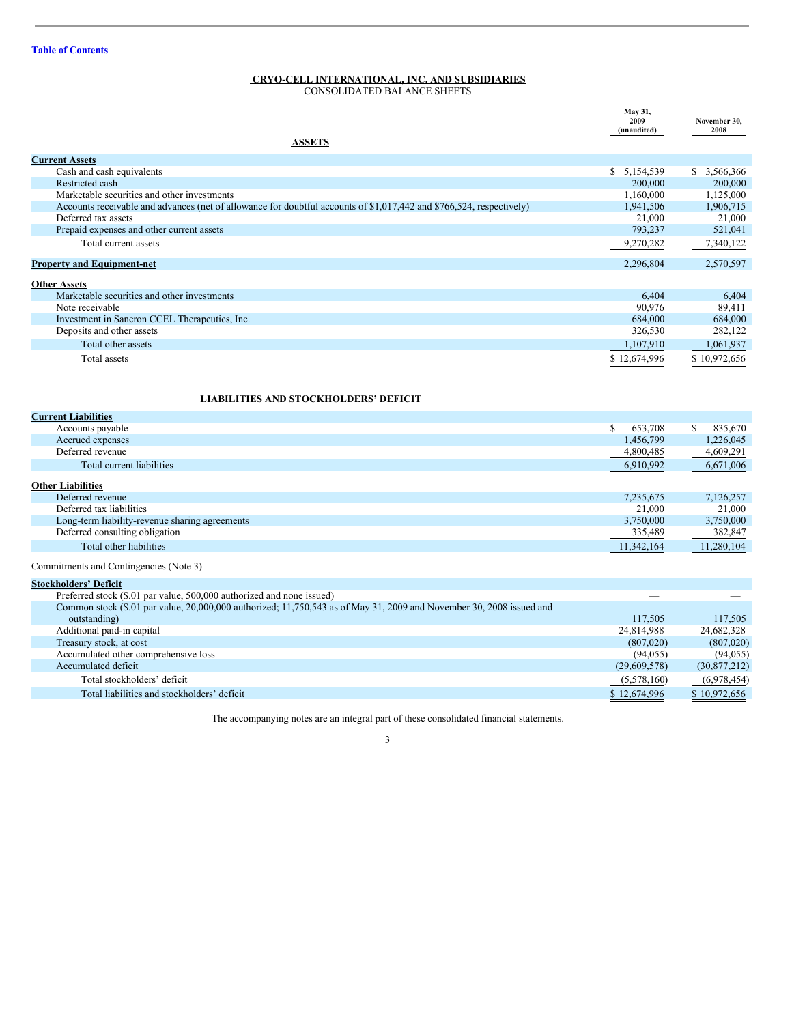<span id="page-2-0"></span>CONSOLIDATED BALANCE SHEETS

|                                                                                                                      | May 31,<br>2009<br>(unaudited) | November 30,<br>2008 |
|----------------------------------------------------------------------------------------------------------------------|--------------------------------|----------------------|
| <b>ASSETS</b>                                                                                                        |                                |                      |
| <b>Current Assets</b>                                                                                                |                                |                      |
| Cash and cash equivalents                                                                                            | \$5,154,539                    | \$3,566,366          |
| Restricted cash                                                                                                      | 200,000                        | 200,000              |
| Marketable securities and other investments                                                                          | 1,160,000                      | 1,125,000            |
| Accounts receivable and advances (net of allowance for doubtful accounts of \$1,017,442 and \$766,524, respectively) | 1,941,506                      | 1,906,715            |
| Deferred tax assets                                                                                                  | 21,000                         | 21,000               |
| Prepaid expenses and other current assets                                                                            | 793,237                        | 521,041              |
| Total current assets                                                                                                 | 9,270,282                      | 7,340,122            |
| <b>Property and Equipment-net</b>                                                                                    | 2,296,804                      | 2,570,597            |
| <b>Other Assets</b>                                                                                                  |                                |                      |
| Marketable securities and other investments                                                                          | 6,404                          | 6,404                |
| Note receivable                                                                                                      | 90.976                         | 89,411               |
| Investment in Saneron CCEL Therapeutics, Inc.                                                                        | 684,000                        | 684,000              |
| Deposits and other assets                                                                                            | 326,530                        | 282,122              |
| Total other assets                                                                                                   | 1,107,910                      | 1,061,937            |
| Total assets                                                                                                         | \$12,674,996                   | \$10,972,656         |
| <b>LIABILITIES AND STOCKHOLDERS' DEFICIT</b>                                                                         |                                |                      |
| <b>Current Liabilities</b>                                                                                           |                                |                      |
| Accounts payable                                                                                                     | <sup>S</sup><br>653,708        | 835,670<br>\$        |
| Accrued expenses                                                                                                     | 1,456,799                      | 1,226,045            |
| Deferred revenue                                                                                                     | 4,800,485                      | 4,609,291            |
| Total current liabilities                                                                                            | 6,910,992                      | 6,671,006            |
| <b>Other Liabilities</b>                                                                                             |                                |                      |
| Deferred revenue                                                                                                     | 7,235,675                      | 7,126,257            |
| Deferred tax liabilities                                                                                             | 21,000                         | 21,000               |
| Long-term liability-revenue sharing agreements                                                                       | 3,750,000                      | 3,750,000            |
| Deferred consulting obligation                                                                                       | 335,489                        | 382,847              |
| Total other liabilities                                                                                              | 11,342,164                     | 11,280,104           |
| Commitments and Contingencies (Note 3)                                                                               |                                |                      |
| <b>Stockholders' Deficit</b>                                                                                         |                                |                      |
| Preferred stock (\$.01 par value, 500,000 authorized and none issued)                                                |                                |                      |
| Common stock (\$.01 par value, 20,000,000 authorized; 11,750,543 as of May 31, 2009 and November 30, 2008 issued and |                                |                      |
| outstanding)                                                                                                         | 117,505                        | 117,505              |
| Additional paid-in capital                                                                                           | 24,814,988                     | 24,682,328           |
| Treasury stock, at cost                                                                                              | (807,020)                      | (807,020)            |
| Accumulated other comprehensive loss                                                                                 | (94, 055)                      | (94, 055)            |
| Accumulated deficit                                                                                                  | (29,609,578)                   | (30,877,212)         |
| Total stockholders' deficit                                                                                          | (5,578,160)                    | (6,978,454)          |
| Total liabilities and stockholders' deficit                                                                          | \$12,674,996                   | \$10,972,656         |

The accompanying notes are an integral part of these consolidated financial statements.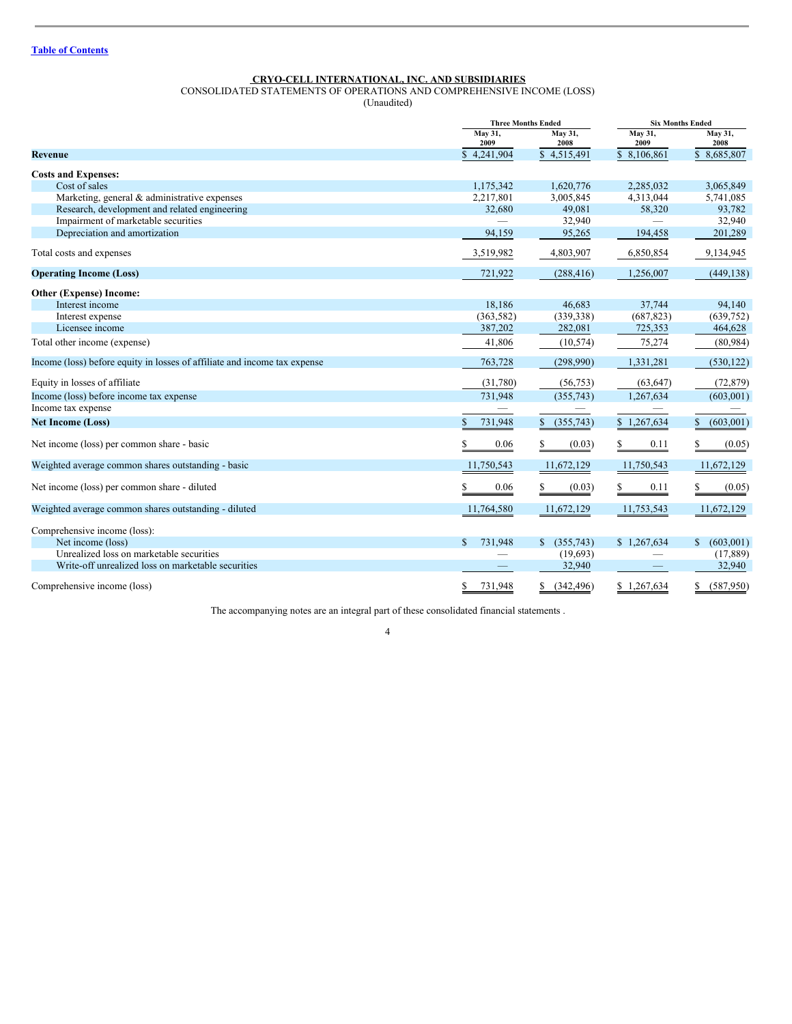<span id="page-3-0"></span>CONSOLIDATED STATEMENTS OF OPERATIONS AND COMPREHENSIVE INCOME (LOSS)

(Unaudited)

|                                                                           |                 | <b>Three Months Ended</b> | <b>Six Months Ended</b> |                 |
|---------------------------------------------------------------------------|-----------------|---------------------------|-------------------------|-----------------|
|                                                                           | May 31,<br>2009 | May 31,<br>2008           | May 31,<br>2009         | May 31,<br>2008 |
| Revenue                                                                   | \$4,241,904     | \$4,515,491               | \$ 8,106,861            | \$8,685,807     |
| <b>Costs and Expenses:</b>                                                |                 |                           |                         |                 |
| Cost of sales                                                             | 1,175,342       | 1,620,776                 | 2,285,032               | 3,065,849       |
| Marketing, general & administrative expenses                              | 2,217,801       | 3,005,845                 | 4,313,044               | 5,741,085       |
| Research, development and related engineering                             | 32,680          | 49,081                    | 58,320                  | 93,782          |
| Impairment of marketable securities                                       |                 | 32,940                    |                         | 32,940          |
| Depreciation and amortization                                             | 94,159          | 95,265                    | 194,458                 | 201,289         |
| Total costs and expenses                                                  | 3,519,982       | 4,803,907                 | 6,850,854               | 9,134,945       |
| <b>Operating Income (Loss)</b>                                            | 721,922         | (288, 416)                | 1,256,007               | (449, 138)      |
| Other (Expense) Income:                                                   |                 |                           |                         |                 |
| Interest income                                                           | 18,186          | 46.683                    | 37.744                  | 94,140          |
| Interest expense                                                          | (363, 582)      | (339, 338)                | (687, 823)              | (639, 752)      |
| Licensee income                                                           | 387,202         | 282,081                   | 725,353                 | 464,628         |
| Total other income (expense)                                              | 41,806          | (10, 574)                 | 75,274                  | (80, 984)       |
| Income (loss) before equity in losses of affiliate and income tax expense | 763,728         | (298,990)                 | 1,331,281               | (530, 122)      |
| Equity in losses of affiliate                                             | (31,780)        | (56, 753)                 | (63, 647)               | (72, 879)       |
| Income (loss) before income tax expense                                   | 731,948         | (355,743)                 | 1,267,634               | (603,001)       |
| Income tax expense                                                        | —               |                           |                         |                 |
| <b>Net Income (Loss)</b>                                                  | 731,948         | (355,743)<br>\$           | \$1,267,634             | \$<br>(603,001) |
| Net income (loss) per common share - basic                                | 0.06<br>S       | \$<br>(0.03)              | 0.11<br>S               | S<br>(0.05)     |
| Weighted average common shares outstanding - basic                        | 11,750,543      | 11,672,129                | 11,750,543              | 11,672,129      |
| Net income (loss) per common share - diluted                              | 0.06<br>\$      | \$<br>(0.03)              | 0.11<br>\$              | \$<br>(0.05)    |
| Weighted average common shares outstanding - diluted                      | 11,764,580      | 11,672,129                | 11,753,543              | 11,672,129      |
| Comprehensive income (loss):                                              |                 |                           |                         |                 |
| Net income (loss)                                                         | 731,948<br>\$.  | \$ (355,743)              | \$1,267,634             | (603,001)<br>\$ |
| Unrealized loss on marketable securities                                  |                 | (19,693)                  |                         | (17, 889)       |
| Write-off unrealized loss on marketable securities                        |                 | 32,940                    |                         | 32,940          |
| Comprehensive income (loss)                                               | S<br>731.948    | (342.496)<br>\$           | \$1.267,634             | (587.950)<br>S  |

The accompanying notes are an integral part of these consolidated financial statements .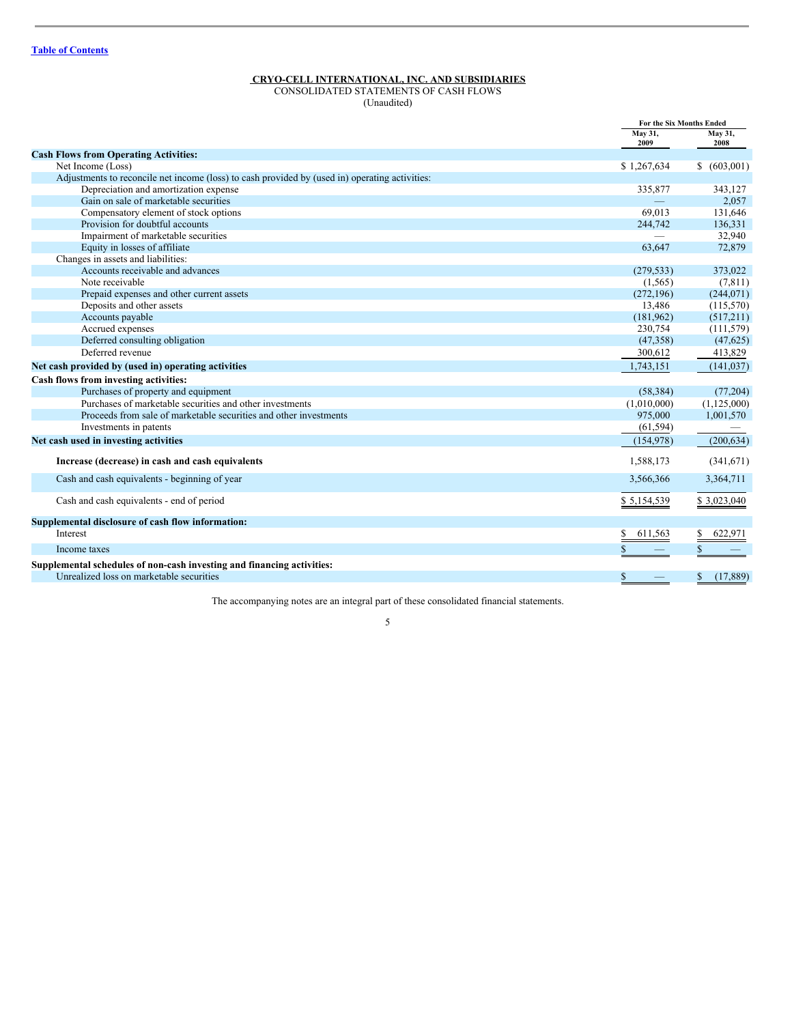<span id="page-4-0"></span>CONSOLIDATED STATEMENTS OF CASH FLOWS (Unaudited)

|                                                                                                | For the Six Months Ended |                 |
|------------------------------------------------------------------------------------------------|--------------------------|-----------------|
|                                                                                                | May 31,<br>2009          | May 31,<br>2008 |
| <b>Cash Flows from Operating Activities:</b>                                                   |                          |                 |
| Net Income (Loss)                                                                              | \$1,267,634              | (603,001)<br>\$ |
| Adjustments to reconcile net income (loss) to cash provided by (used in) operating activities: |                          |                 |
| Depreciation and amortization expense                                                          | 335,877                  | 343,127         |
| Gain on sale of marketable securities                                                          |                          | 2,057           |
| Compensatory element of stock options                                                          | 69,013                   | 131,646         |
| Provision for doubtful accounts                                                                | 244,742                  | 136,331         |
| Impairment of marketable securities                                                            | $\overline{\phantom{0}}$ | 32,940          |
| Equity in losses of affiliate                                                                  | 63.647                   | 72,879          |
| Changes in assets and liabilities:                                                             |                          |                 |
| Accounts receivable and advances                                                               | (279, 533)               | 373,022         |
| Note receivable                                                                                | (1, 565)                 | (7, 811)        |
| Prepaid expenses and other current assets                                                      | (272, 196)               | (244, 071)      |
| Deposits and other assets                                                                      | 13,486                   | (115,570)       |
| Accounts payable                                                                               | (181,962)                | (517,211)       |
| Accrued expenses                                                                               | 230,754                  | (111, 579)      |
| Deferred consulting obligation                                                                 | (47, 358)                | (47, 625)       |
| Deferred revenue                                                                               | 300,612                  | 413,829         |
| Net cash provided by (used in) operating activities                                            | 1.743.151                | (141, 037)      |
| Cash flows from investing activities:                                                          |                          |                 |
| Purchases of property and equipment                                                            | (58, 384)                | (77, 204)       |
| Purchases of marketable securities and other investments                                       | (1,010,000)              | (1,125,000)     |
| Proceeds from sale of marketable securities and other investments                              | 975,000                  | 1,001,570       |
| Investments in patents                                                                         | (61, 594)                |                 |
| Net cash used in investing activities                                                          | (154, 978)               | (200, 634)      |
| Increase (decrease) in cash and cash equivalents                                               | 1,588,173                | (341,671)       |
| Cash and cash equivalents - beginning of year                                                  | 3,566,366                | 3,364,711       |
| Cash and cash equivalents - end of period                                                      | \$5,154,539              | \$3,023,040     |
| Supplemental disclosure of cash flow information:                                              |                          |                 |
| Interest                                                                                       | \$<br>611,563            | 622,971         |
| Income taxes                                                                                   |                          |                 |
| Supplemental schedules of non-cash investing and financing activities:                         |                          |                 |
| Unrealized loss on marketable securities                                                       | \$                       | \$<br>(17,889)  |
|                                                                                                |                          |                 |

The accompanying notes are an integral part of these consolidated financial statements.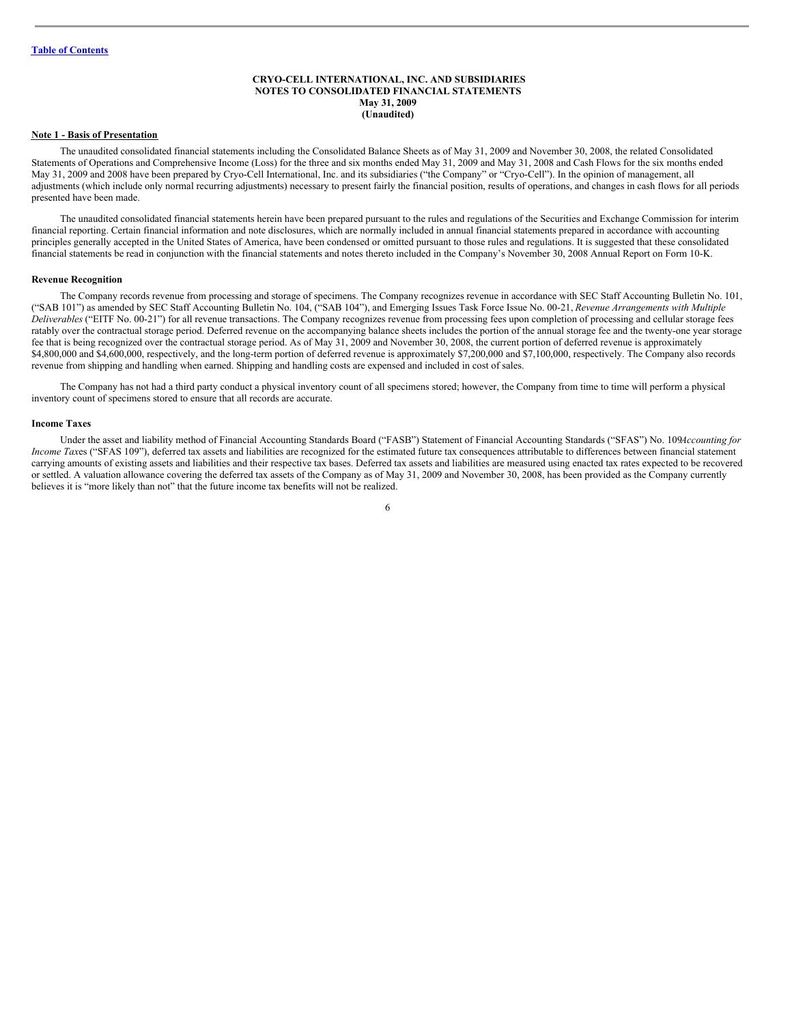# <span id="page-5-0"></span>**CRYO-CELL INTERNATIONAL, INC. AND SUBSIDIARIES NOTES TO CONSOLIDATED FINANCIAL STATEMENTS May 31, 2009 (Unaudited)**

#### **Note 1 - Basis of Presentation**

The unaudited consolidated financial statements including the Consolidated Balance Sheets as of May 31, 2009 and November 30, 2008, the related Consolidated Statements of Operations and Comprehensive Income (Loss) for the three and six months ended May 31, 2009 and May 31, 2008 and Cash Flows for the six months ended May 31, 2009 and 2008 have been prepared by Cryo-Cell International, Inc. and its subsidiaries ("the Company" or "Cryo-Cell"). In the opinion of management, all adjustments (which include only normal recurring adjustments) necessary to present fairly the financial position, results of operations, and changes in cash flows for all periods presented have been made.

The unaudited consolidated financial statements herein have been prepared pursuant to the rules and regulations of the Securities and Exchange Commission for interim financial reporting. Certain financial information and note disclosures, which are normally included in annual financial statements prepared in accordance with accounting principles generally accepted in the United States of America, have been condensed or omitted pursuant to those rules and regulations. It is suggested that these consolidated financial statements be read in conjunction with the financial statements and notes thereto included in the Company's November 30, 2008 Annual Report on Form 10-K.

#### **Revenue Recognition**

The Company records revenue from processing and storage of specimens. The Company recognizes revenue in accordance with SEC Staff Accounting Bulletin No. 101, ("SAB 101") as amended by SEC Staff Accounting Bulletin No. 104, ("SAB 104"), and Emerging Issues Task Force Issue No. 00-21, *Revenue Arrangements with Multiple Deliverables* ("EITF No. 00-21") for all revenue transactions. The Company recognizes revenue from processing fees upon completion of processing and cellular storage fees ratably over the contractual storage period. Deferred revenue on the accompanying balance sheets includes the portion of the annual storage fee and the twenty-one year storage fee that is being recognized over the contractual storage period. As of May 31, 2009 and November 30, 2008, the current portion of deferred revenue is approximately \$4,800,000 and \$4,600,000, respectively, and the long-term portion of deferred revenue is approximately \$7,200,000 and \$7,100,000, respectively. The Company also records revenue from shipping and handling when earned. Shipping and handling costs are expensed and included in cost of sales.

The Company has not had a third party conduct a physical inventory count of all specimens stored; however, the Company from time to time will perform a physical inventory count of specimens stored to ensure that all records are accurate.

#### **Income Taxes**

Under the asset and liability method of Financial Accounting Standards Board ("FASB") Statement of Financial Accounting Standards ("SFAS") No. 109*Accounting for Income Taxes* ("SFAS 109"), deferred tax assets and liabilities are recognized for the estimated future tax consequences attributable to differences between financial statement carrying amounts of existing assets and liabilities and their respective tax bases. Deferred tax assets and liabilities are measured using enacted tax rates expected to be recovered or settled. A valuation allowance covering the deferred tax assets of the Company as of May 31, 2009 and November 30, 2008, has been provided as the Company currently believes it is "more likely than not" that the future income tax benefits will not be realized.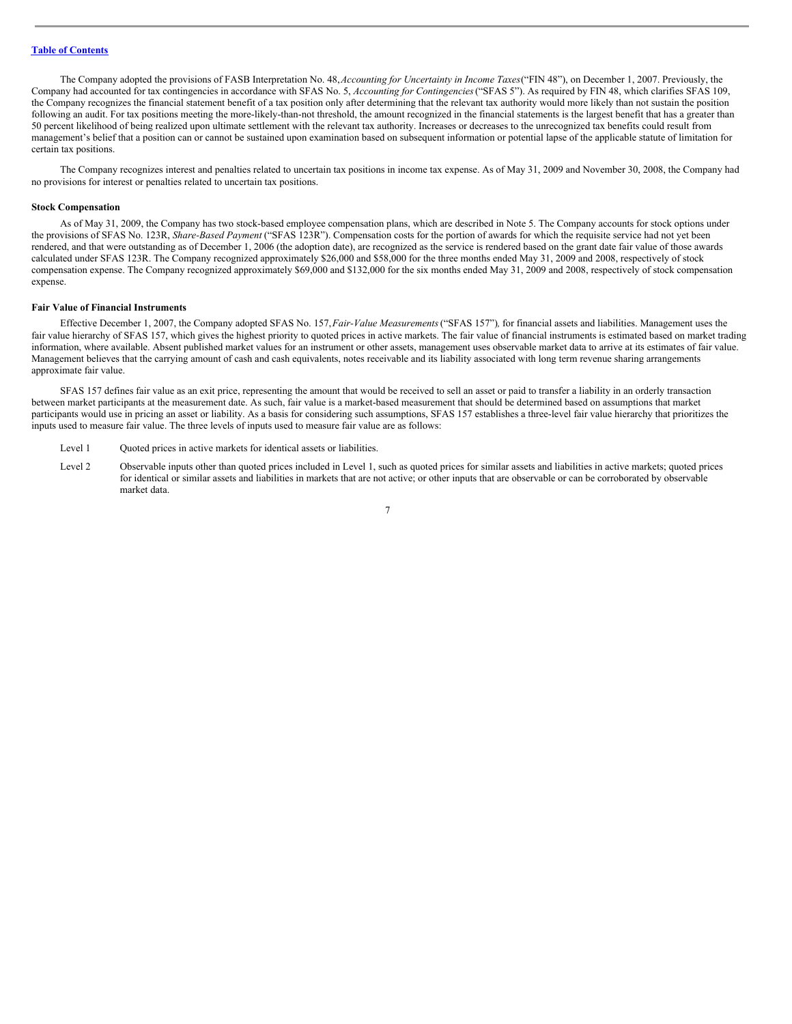The Company adopted the provisions of FASB Interpretation No. 48,*Accounting for Uncertainty in Income Taxes*("FIN 48"), on December 1, 2007. Previously, the Company had accounted for tax contingencies in accordance with SFAS No. 5, *Accounting for Contingencies*("SFAS 5"). As required by FIN 48, which clarifies SFAS 109, the Company recognizes the financial statement benefit of a tax position only after determining that the relevant tax authority would more likely than not sustain the position following an audit. For tax positions meeting the more-likely-than-not threshold, the amount recognized in the financial statements is the largest benefit that has a greater than 50 percent likelihood of being realized upon ultimate settlement with the relevant tax authority. Increases or decreases to the unrecognized tax benefits could result from management's belief that a position can or cannot be sustained upon examination based on subsequent information or potential lapse of the applicable statute of limitation for certain tax positions.

The Company recognizes interest and penalties related to uncertain tax positions in income tax expense. As of May 31, 2009 and November 30, 2008, the Company had no provisions for interest or penalties related to uncertain tax positions.

#### **Stock Compensation**

As of May 31, 2009, the Company has two stock-based employee compensation plans, which are described in Note 5. The Company accounts for stock options under the provisions of SFAS No. 123R, *Share-Based Payment* ("SFAS 123R"). Compensation costs for the portion of awards for which the requisite service had not yet been rendered, and that were outstanding as of December 1, 2006 (the adoption date), are recognized as the service is rendered based on the grant date fair value of those awards calculated under SFAS 123R. The Company recognized approximately \$26,000 and \$58,000 for the three months ended May 31, 2009 and 2008, respectively of stock compensation expense. The Company recognized approximately \$69,000 and \$132,000 for the six months ended May 31, 2009 and 2008, respectively of stock compensation expense.

#### **Fair Value of Financial Instruments**

Effective December 1, 2007, the Company adopted SFAS No. 157,*Fair-Value Measurements*("SFAS 157")*,* for financial assets and liabilities. Management uses the fair value hierarchy of SFAS 157, which gives the highest priority to quoted prices in active markets. The fair value of financial instruments is estimated based on market trading information, where available. Absent published market values for an instrument or other assets, management uses observable market data to arrive at its estimates of fair value. Management believes that the carrying amount of cash and cash equivalents, notes receivable and its liability associated with long term revenue sharing arrangements approximate fair value.

SFAS 157 defines fair value as an exit price, representing the amount that would be received to sell an asset or paid to transfer a liability in an orderly transaction between market participants at the measurement date. As such, fair value is a market-based measurement that should be determined based on assumptions that market participants would use in pricing an asset or liability. As a basis for considering such assumptions, SFAS 157 establishes a three-level fair value hierarchy that prioritizes the inputs used to measure fair value. The three levels of inputs used to measure fair value are as follows:

- Level 1 Quoted prices in active markets for identical assets or liabilities.
- Level 2 Observable inputs other than quoted prices included in Level 1, such as quoted prices for similar assets and liabilities in active markets; quoted prices for identical or similar assets and liabilities in markets that are not active; or other inputs that are observable or can be corroborated by observable market data.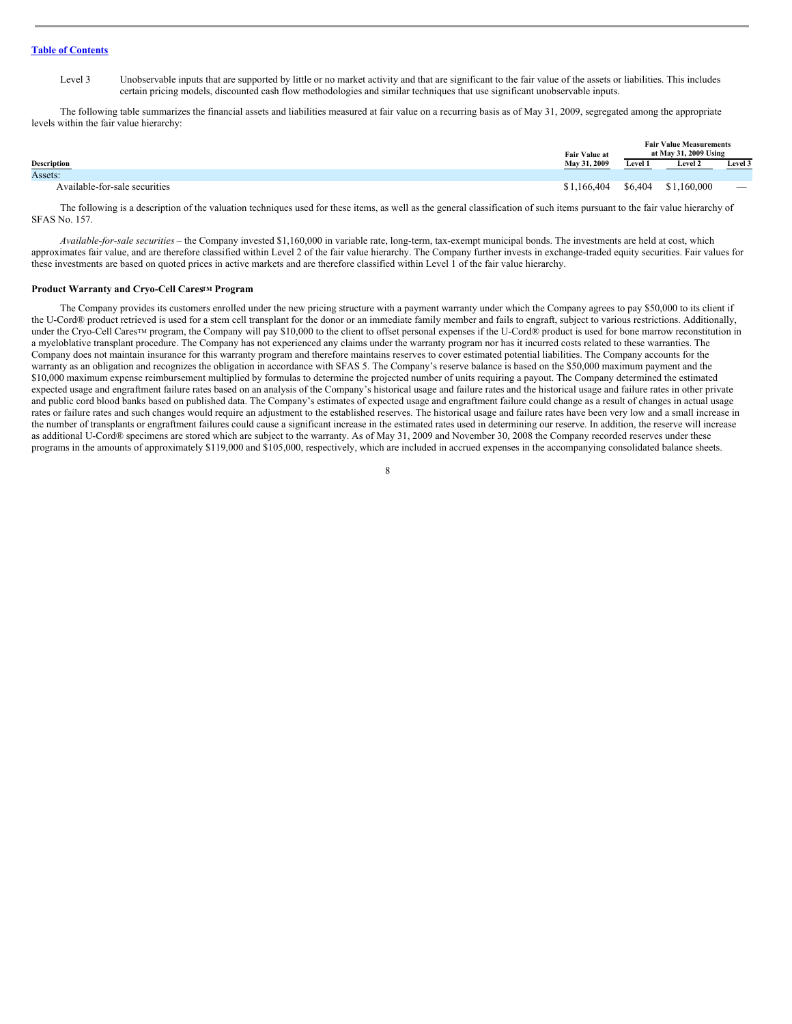Level 3 Unobservable inputs that are supported by little or no market activity and that are significant to the fair value of the assets or liabilities. This includes certain pricing models, discounted cash flow methodologies and similar techniques that use significant unobservable inputs.

The following table summarizes the financial assets and liabilities measured at fair value on a recurring basis as of May 31, 2009, segregated among the appropriate levels within the fair value hierarchy:

| <b>Fair Value at</b>          |                                    | <b>Fair Value Measurements</b><br>at May 31, 2009 Using |                |                                 |  |
|-------------------------------|------------------------------------|---------------------------------------------------------|----------------|---------------------------------|--|
| Description                   | May 31, 2009                       | Level 1                                                 | <b>Level 2</b> | Level 3                         |  |
| Assets:                       |                                    |                                                         |                |                                 |  |
| Available-for-sale securities | $$1,166,404$ $$6,404$ $$1,160,000$ |                                                         |                | $\hspace{0.1mm}-\hspace{0.1mm}$ |  |

The following is a description of the valuation techniques used for these items, as well as the general classification of such items pursuant to the fair value hierarchy of SFAS No. 157.

*Available-for-sale securities* – the Company invested \$1,160,000 in variable rate, long-term, tax-exempt municipal bonds. The investments are held at cost, which approximates fair value, and are therefore classified within Level 2 of the fair value hierarchy. The Company further invests in exchange-traded equity securities. Fair values for these investments are based on quoted prices in active markets and are therefore classified within Level 1 of the fair value hierarchy.

#### **Product Warranty and Cryo-Cell Cares<sup>TM</sup> Program**

The Company provides its customers enrolled under the new pricing structure with a payment warranty under which the Company agrees to pay \$50,000 to its client if the U-Cord® product retrieved is used for a stem cell transplant for the donor or an immediate family member and fails to engraft, subject to various restrictions. Additionally, under the Cryo-Cell Cares<sup>TM</sup> program, the Company will pay \$10,000 to the client to offset personal expenses if the U-Cord® product is used for bone marrow reconstitution in a myeloblative transplant procedure. The Company has not experienced any claims under the warranty program nor has it incurred costs related to these warranties. The Company does not maintain insurance for this warranty program and therefore maintains reserves to cover estimated potential liabilities. The Company accounts for the warranty as an obligation and recognizes the obligation in accordance with SFAS 5. The Company's reserve balance is based on the \$50,000 maximum payment and the \$10,000 maximum expense reimbursement multiplied by formulas to determine the projected number of units requiring a payout. The Company determined the estimated expected usage and engraftment failure rates based on an analysis of the Company's historical usage and failure rates and the historical usage and failure rates in other private and public cord blood banks based on published data. The Company's estimates of expected usage and engraftment failure could change as a result of changes in actual usage rates or failure rates and such changes would require an adjustment to the established reserves. The historical usage and failure rates have been very low and a small increase in the number of transplants or engraftment failures could cause a significant increase in the estimated rates used in determining our reserve. In addition, the reserve will increase as additional U-Cord® specimens are stored which are subject to the warranty. As of May 31, 2009 and November 30, 2008 the Company recorded reserves under these programs in the amounts of approximately \$119,000 and \$105,000, respectively, which are included in accrued expenses in the accompanying consolidated balance sheets.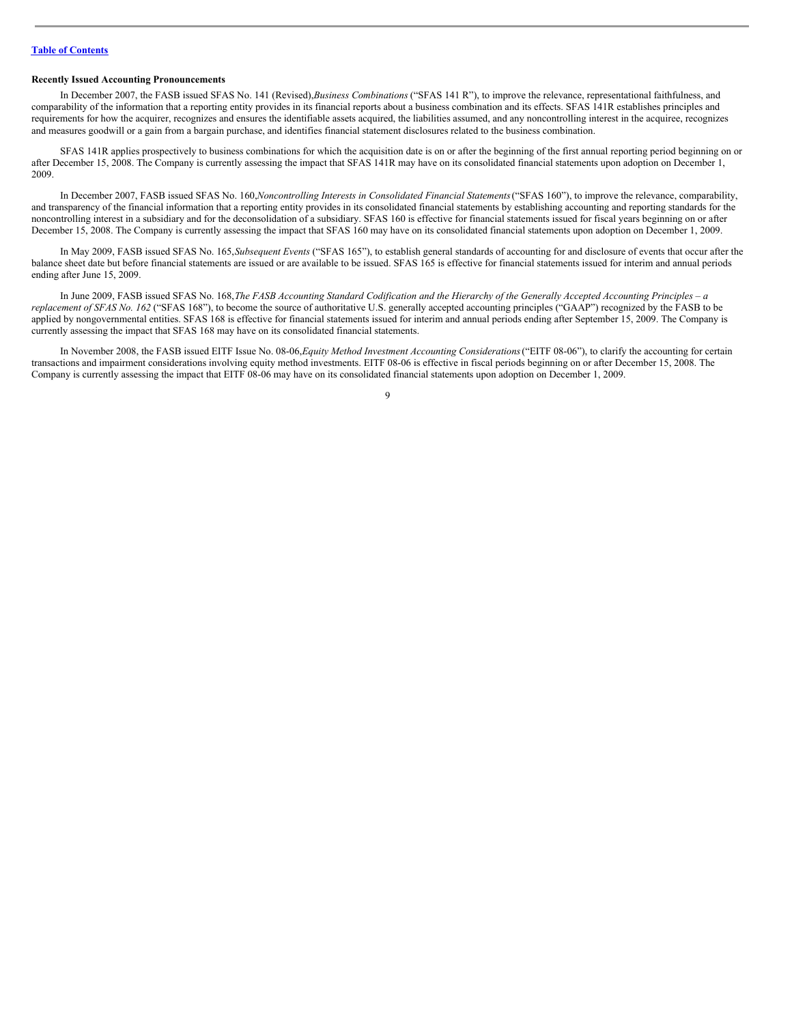## **Recently Issued Accounting Pronouncements**

In December 2007, the FASB issued SFAS No. 141 (Revised),*Business Combinations* ("SFAS 141 R"), to improve the relevance, representational faithfulness, and comparability of the information that a reporting entity provides in its financial reports about a business combination and its effects. SFAS 141R establishes principles and requirements for how the acquirer, recognizes and ensures the identifiable assets acquired, the liabilities assumed, and any noncontrolling interest in the acquiree, recognizes and measures goodwill or a gain from a bargain purchase, and identifies financial statement disclosures related to the business combination.

SFAS 141R applies prospectively to business combinations for which the acquisition date is on or after the beginning of the first annual reporting period beginning on or after December 15, 2008. The Company is currently assessing the impact that SFAS 141R may have on its consolidated financial statements upon adoption on December 1, 2009.

In December 2007, FASB issued SFAS No. 160,*Noncontrolling Interests in Consolidated Financial Statements*("SFAS 160"), to improve the relevance, comparability, and transparency of the financial information that a reporting entity provides in its consolidated financial statements by establishing accounting and reporting standards for the noncontrolling interest in a subsidiary and for the deconsolidation of a subsidiary. SFAS 160 is effective for financial statements issued for fiscal years beginning on or after December 15, 2008. The Company is currently assessing the impact that SFAS 160 may have on its consolidated financial statements upon adoption on December 1, 2009.

In May 2009, FASB issued SFAS No. 165,*Subsequent Events* ("SFAS 165"), to establish general standards of accounting for and disclosure of events that occur after the balance sheet date but before financial statements are issued or are available to be issued. SFAS 165 is effective for financial statements issued for interim and annual periods ending after June 15, 2009.

In June 2009, FASB issued SFAS No. 168, The FASB Accounting Standard Codification and the Hierarchy of the Generally Accepted Accounting Principles - a *replacement of SFAS No. 162* ("SFAS 168"), to become the source of authoritative U.S. generally accepted accounting principles ("GAAP") recognized by the FASB to be applied by nongovernmental entities. SFAS 168 is effective for financial statements issued for interim and annual periods ending after September 15, 2009. The Company is currently assessing the impact that SFAS 168 may have on its consolidated financial statements.

In November 2008, the FASB issued EITF Issue No. 08-06,*Equity Method Investment Accounting Considerations*("EITF 08-06"), to clarify the accounting for certain transactions and impairment considerations involving equity method investments. EITF 08-06 is effective in fiscal periods beginning on or after December 15, 2008. The Company is currently assessing the impact that EITF 08-06 may have on its consolidated financial statements upon adoption on December 1, 2009.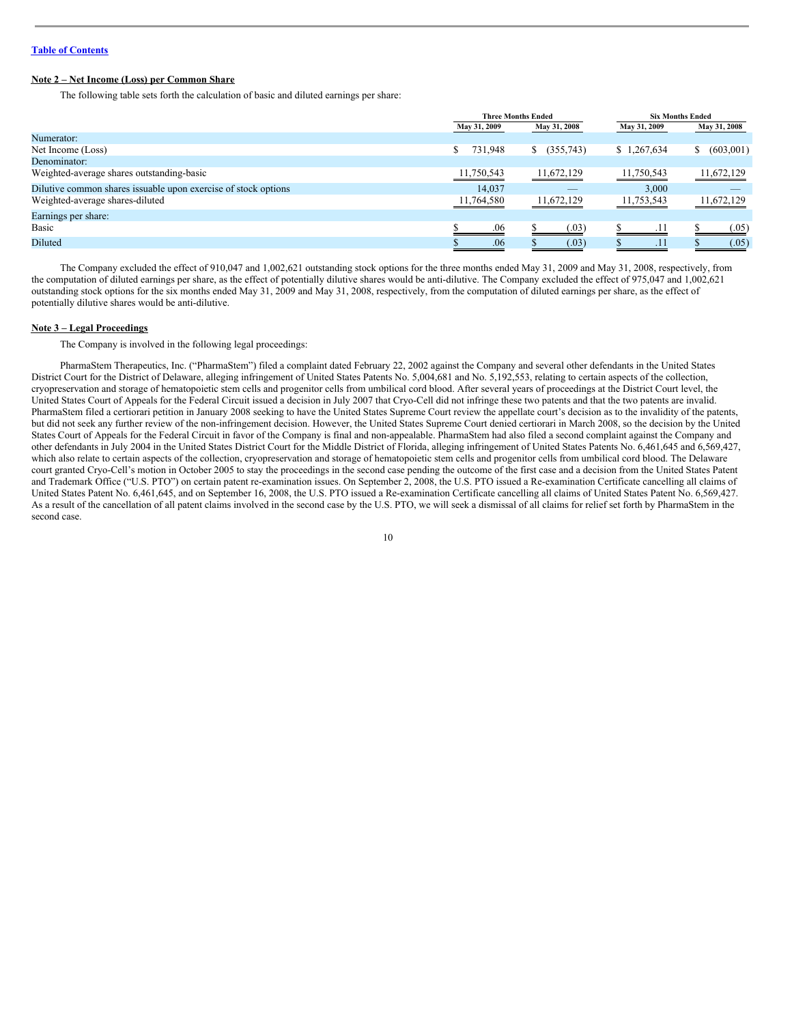# **Note 2 – Net Income (Loss) per Common Share**

The following table sets forth the calculation of basic and diluted earnings per share:

|                                                                | <b>Three Months Ended</b> |                  |              | <b>Six Months Ended</b> |  |
|----------------------------------------------------------------|---------------------------|------------------|--------------|-------------------------|--|
|                                                                | May 31, 2009              | May 31, 2008     | May 31, 2009 | May 31, 2008            |  |
| Numerator:                                                     |                           |                  |              |                         |  |
| Net Income (Loss)                                              | 731,948                   | $$^{(355,743)}$$ | \$1,267,634  | (603,001)<br>S.         |  |
| Denominator:                                                   |                           |                  |              |                         |  |
| Weighted-average shares outstanding-basic                      | 11,750,543                | 11,672,129       | 11,750,543   | 11,672,129              |  |
| Dilutive common shares issuable upon exercise of stock options | 14.037                    | _                | 3.000        |                         |  |
| Weighted-average shares-diluted                                | 11,764,580                | 11,672,129       |              | 11,672,129              |  |
| Earnings per share:                                            |                           |                  |              |                         |  |
| Basic                                                          | .06                       | (.03)            | .11          | (.05)                   |  |
| <b>Diluted</b>                                                 | .06                       | (.03)            | .11          | (.05)                   |  |

The Company excluded the effect of 910,047 and 1,002,621 outstanding stock options for the three months ended May 31, 2009 and May 31, 2008, respectively, from the computation of diluted earnings per share, as the effect of potentially dilutive shares would be anti-dilutive. The Company excluded the effect of 975,047 and 1,002,621 outstanding stock options for the six months ended May 31, 2009 and May 31, 2008, respectively, from the computation of diluted earnings per share, as the effect of potentially dilutive shares would be anti-dilutive.

#### **Note 3 – Legal Proceedings**

The Company is involved in the following legal proceedings:

PharmaStem Therapeutics, Inc. ("PharmaStem") filed a complaint dated February 22, 2002 against the Company and several other defendants in the United States District Court for the District of Delaware, alleging infringement of United States Patents No. 5,004,681 and No. 5,192,553, relating to certain aspects of the collection, cryopreservation and storage of hematopoietic stem cells and progenitor cells from umbilical cord blood. After several years of proceedings at the District Court level, the United States Court of Appeals for the Federal Circuit issued a decision in July 2007 that Cryo-Cell did not infringe these two patents and that the two patents are invalid. PharmaStem filed a certiorari petition in January 2008 seeking to have the United States Supreme Court review the appellate court's decision as to the invalidity of the patents, but did not seek any further review of the non-infringement decision. However, the United States Supreme Court denied certiorari in March 2008, so the decision by the United States Court of Appeals for the Federal Circuit in favor of the Company is final and non-appealable. PharmaStem had also filed a second complaint against the Company and other defendants in July 2004 in the United States District Court for the Middle District of Florida, alleging infringement of United States Patents No. 6,461,645 and 6,569,427, which also relate to certain aspects of the collection, cryopreservation and storage of hematopoietic stem cells and progenitor cells from umbilical cord blood. The Delaware court granted Cryo-Cell's motion in October 2005 to stay the proceedings in the second case pending the outcome of the first case and a decision from the United States Patent and Trademark Office ("U.S. PTO") on certain patent re-examination issues. On September 2, 2008, the U.S. PTO issued a Re-examination Certificate cancelling all claims of United States Patent No. 6,461,645, and on September 16, 2008, the U.S. PTO issued a Re-examination Certificate cancelling all claims of United States Patent No. 6,569,427. As a result of the cancellation of all patent claims involved in the second case by the U.S. PTO, we will seek a dismissal of all claims for relief set forth by PharmaStem in the second case.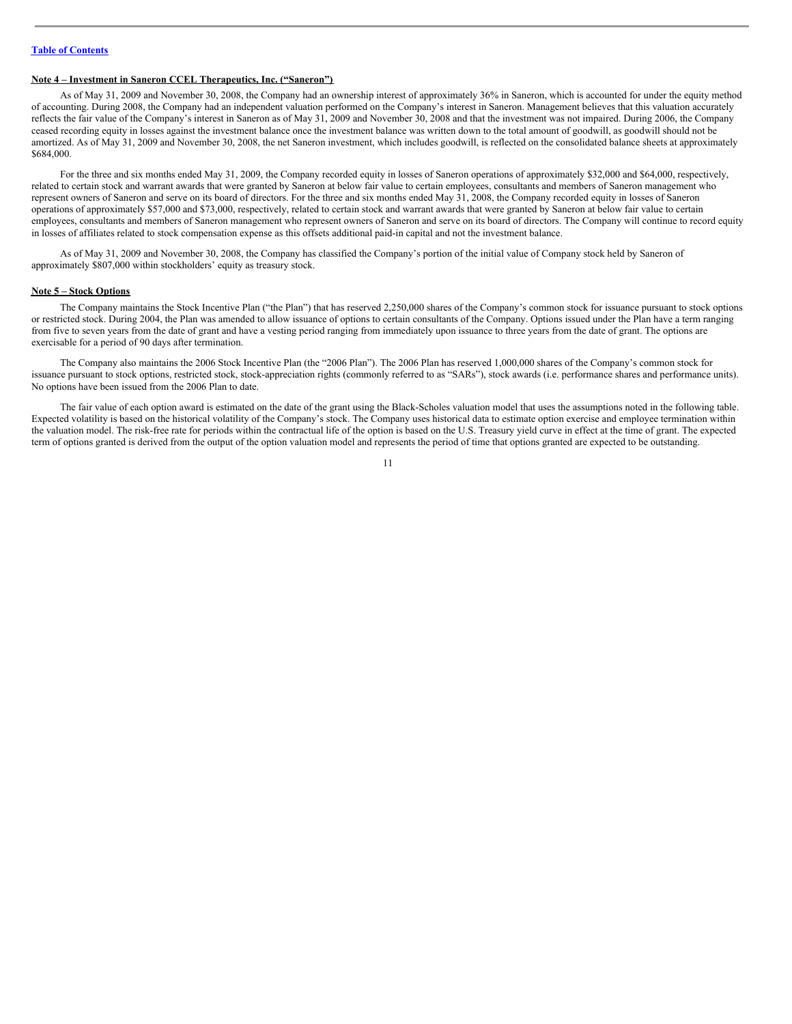# **Note 4 – Investment in Saneron CCEL Therapeutics, Inc. ("Saneron")**

As of May 31, 2009 and November 30, 2008, the Company had an ownership interest of approximately 36% in Saneron, which is accounted for under the equity method of accounting. During 2008, the Company had an independent valuation performed on the Company's interest in Saneron. Management believes that this valuation accurately reflects the fair value of the Company's interest in Saneron as of May 31, 2009 and November 30, 2008 and that the investment was not impaired. During 2006, the Company ceased recording equity in losses against the investment balance once the investment balance was written down to the total amount of goodwill, as goodwill should not be amortized. As of May 31, 2009 and November 30, 2008, the net Saneron investment, which includes goodwill, is reflected on the consolidated balance sheets at approximately \$684,000.

For the three and six months ended May 31, 2009, the Company recorded equity in losses of Saneron operations of approximately \$32,000 and \$64,000, respectively, related to certain stock and warrant awards that were granted by Saneron at below fair value to certain employees, consultants and members of Saneron management who represent owners of Saneron and serve on its board of directors. For the three and six months ended May 31, 2008, the Company recorded equity in losses of Saneron operations of approximately \$57,000 and \$73,000, respectively, related to certain stock and warrant awards that were granted by Saneron at below fair value to certain employees, consultants and members of Saneron management who represent owners of Saneron and serve on its board of directors. The Company will continue to record equity in losses of affiliates related to stock compensation expense as this offsets additional paid-in capital and not the investment balance.

As of May 31, 2009 and November 30, 2008, the Company has classified the Company's portion of the initial value of Company stock held by Saneron of approximately \$807,000 within stockholders' equity as treasury stock.

#### **Note 5 – Stock Options**

The Company maintains the Stock Incentive Plan ("the Plan") that has reserved 2,250,000 shares of the Company's common stock for issuance pursuant to stock options or restricted stock. During 2004, the Plan was amended to allow issuance of options to certain consultants of the Company. Options issued under the Plan have a term ranging from five to seven years from the date of grant and have a vesting period ranging from immediately upon issuance to three years from the date of grant. The options are exercisable for a period of 90 days after termination.

The Company also maintains the 2006 Stock Incentive Plan (the "2006 Plan"). The 2006 Plan has reserved 1,000,000 shares of the Company's common stock for issuance pursuant to stock options, restricted stock, stock-appreciation rights (commonly referred to as "SARs"), stock awards (i.e. performance shares and performance units). No options have been issued from the 2006 Plan to date.

The fair value of each option award is estimated on the date of the grant using the Black-Scholes valuation model that uses the assumptions noted in the following table. Expected volatility is based on the historical volatility of the Company's stock. The Company uses historical data to estimate option exercise and employee termination within the valuation model. The risk-free rate for periods within the contractual life of the option is based on the U.S. Treasury yield curve in effect at the time of grant. The expected term of options granted is derived from the output of the option valuation model and represents the period of time that options granted are expected to be outstanding.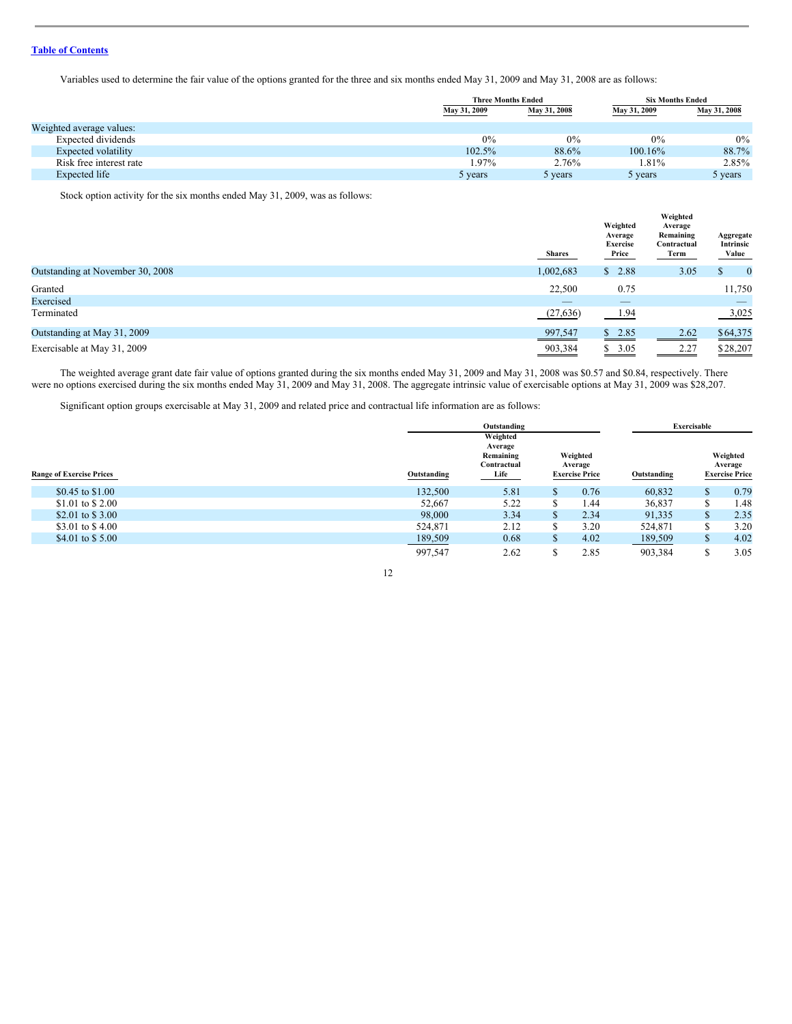Variables used to determine the fair value of the options granted for the three and six months ended May 31, 2009 and May 31, 2008 are as follows:

|                          |              | <b>Three Months Ended</b> |            | <b>Six Months Ended</b> |
|--------------------------|--------------|---------------------------|------------|-------------------------|
|                          | May 31, 2009 | May 31, 2008              |            | May 31, 2008            |
| Weighted average values: |              |                           |            |                         |
| Expected dividends       | 0%           | 0%                        | 0%         | $0\%$                   |
| Expected volatility      | 102.5%       | 88.6%                     | $100.16\%$ | 88.7%                   |
| Risk free interest rate  | 1.97%        | 2.76%                     | 1.81%      | 2.85%                   |
| Expected life            | 5 years      | 5 years                   | 5 years    | 5 years                 |

Stock option activity for the six months ended May 31, 2009, was as follows:

|                                  | Shares    | Weighted<br>Average<br>Exercise<br>Price | Weighted<br>Average<br>Remaining<br>Contractual<br>Term | Aggregate<br>Intrinsic<br>Value |
|----------------------------------|-----------|------------------------------------------|---------------------------------------------------------|---------------------------------|
| Outstanding at November 30, 2008 | 1,002,683 | 2.88<br>\$                               | 3.05                                                    | $\bf{0}$<br>\$                  |
| Granted                          | 22,500    | 0.75                                     |                                                         | 11,750                          |
| Exercised                        | $-$       | $\qquad \qquad - \qquad$                 |                                                         | $\qquad \qquad - \qquad$        |
| Terminated                       | (27, 636) | 1.94                                     |                                                         | 3,025                           |
| Outstanding at May 31, 2009      | 997,547   | \$2.85                                   | 2.62                                                    | \$64,375                        |
| Exercisable at May 31, 2009      | 903,384   | 3.05<br>\$                               | 2.27                                                    | \$28,207                        |

The weighted average grant date fair value of options granted during the six months ended May 31, 2009 and May 31, 2008 was \$0.57 and \$0.84, respectively. There were no options exercised during the six months ended May 31, 2009 and May 31, 2008. The aggregate intrinsic value of exercisable options at May 31, 2009 was \$28,207.

Significant option groups exercisable at May 31, 2009 and related price and contractual life information are as follows:

|                                 |             | Outstanding                                             |              |                                              | Exercisable |    |                                              |
|---------------------------------|-------------|---------------------------------------------------------|--------------|----------------------------------------------|-------------|----|----------------------------------------------|
| <b>Range of Exercise Prices</b> | Outstanding | Weighted<br>Average<br>Remaining<br>Contractual<br>Life |              | Weighted<br>Average<br><b>Exercise Price</b> | Outstanding |    | Weighted<br>Average<br><b>Exercise Price</b> |
| \$0.45 to \$1,00                | 132,500     | 5.81                                                    | \$           | 0.76                                         | 60,832      |    | 0.79                                         |
| \$1.01 to \$2.00                | 52.667      | 5.22                                                    | \$           | 1.44                                         | 36,837      | ሖ  | 1.48                                         |
| \$2.01 to \$3.00                | 98,000      | 3.34                                                    | S            | 2.34                                         | 91,335      | \$ | 2.35                                         |
| \$3.01 to \$4.00                | 524,871     | 2.12                                                    | S            | 3.20                                         | 524,871     |    | 3.20                                         |
| \$4.01 to \$5.00                | 189,509     | 0.68                                                    | $\mathbb{S}$ | 4.02                                         | 189,509     |    | 4.02                                         |
|                                 | 997.547     | 2.62                                                    | S            | 2.85                                         | 903,384     |    | 3.05                                         |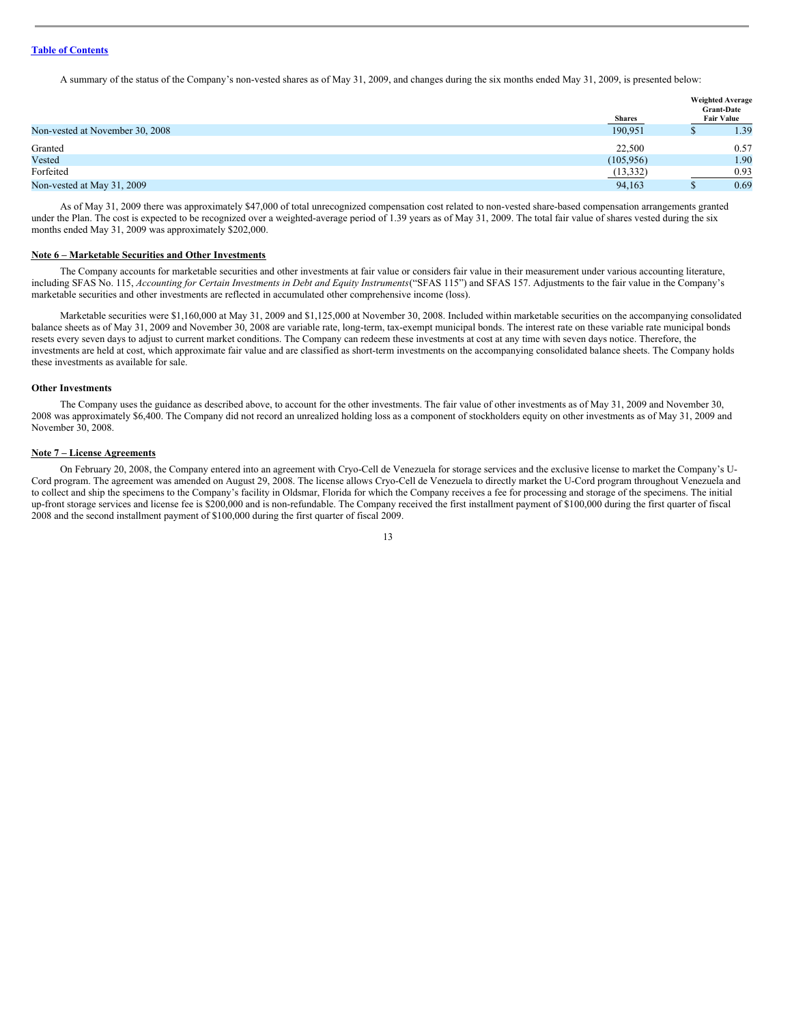A summary of the status of the Company's non-vested shares as of May 31, 2009, and changes during the six months ended May 31, 2009, is presented below:

| <b>Weighted Average</b><br><b>Grant-Date</b><br><b>Fair Value</b><br><b>Shares</b> |      |
|------------------------------------------------------------------------------------|------|
| 190,951<br>Non-vested at November 30, 2008                                         | 1.39 |
| Granted<br>22,500                                                                  | 0.57 |
| Vested<br>(105, 956)                                                               | 1.90 |
| Forfeited<br>(13, 332)                                                             | 0.93 |
| Non-vested at May 31, 2009<br>94,163                                               | 0.69 |

As of May 31, 2009 there was approximately \$47,000 of total unrecognized compensation cost related to non-vested share-based compensation arrangements granted under the Plan. The cost is expected to be recognized over a weighted-average period of 1.39 years as of May 31, 2009. The total fair value of shares vested during the six months ended May 31, 2009 was approximately \$202,000.

# **Note 6 – Marketable Securities and Other Investments**

The Company accounts for marketable securities and other investments at fair value or considers fair value in their measurement under various accounting literature, including SFAS No. 115, Accounting for Certain Investments in Debt and Equity Instruments ("SFAS 115") and SFAS 157. Adjustments to the fair value in the Company's marketable securities and other investments are reflected in accumulated other comprehensive income (loss).

Marketable securities were \$1,160,000 at May 31, 2009 and \$1,125,000 at November 30, 2008. Included within marketable securities on the accompanying consolidated balance sheets as of May 31, 2009 and November 30, 2008 are variable rate, long-term, tax-exempt municipal bonds. The interest rate on these variable rate municipal bonds resets every seven days to adjust to current market conditions. The Company can redeem these investments at cost at any time with seven days notice. Therefore, the investments are held at cost, which approximate fair value and are classified as short-term investments on the accompanying consolidated balance sheets. The Company holds these investments as available for sale.

#### **Other Investments**

The Company uses the guidance as described above, to account for the other investments. The fair value of other investments as of May 31, 2009 and November 30, 2008 was approximately \$6,400. The Company did not record an unrealized holding loss as a component of stockholders equity on other investments as of May 31, 2009 and November 30, 2008.

# **Note 7 – License Agreements**

On February 20, 2008, the Company entered into an agreement with Cryo-Cell de Venezuela for storage services and the exclusive license to market the Company's U-Cord program. The agreement was amended on August 29, 2008. The license allows Cryo-Cell de Venezuela to directly market the U-Cord program throughout Venezuela and to collect and ship the specimens to the Company's facility in Oldsmar, Florida for which the Company receives a fee for processing and storage of the specimens. The initial up-front storage services and license fee is \$200,000 and is non-refundable. The Company received the first installment payment of \$100,000 during the first quarter of fiscal 2008 and the second installment payment of \$100,000 during the first quarter of fiscal 2009.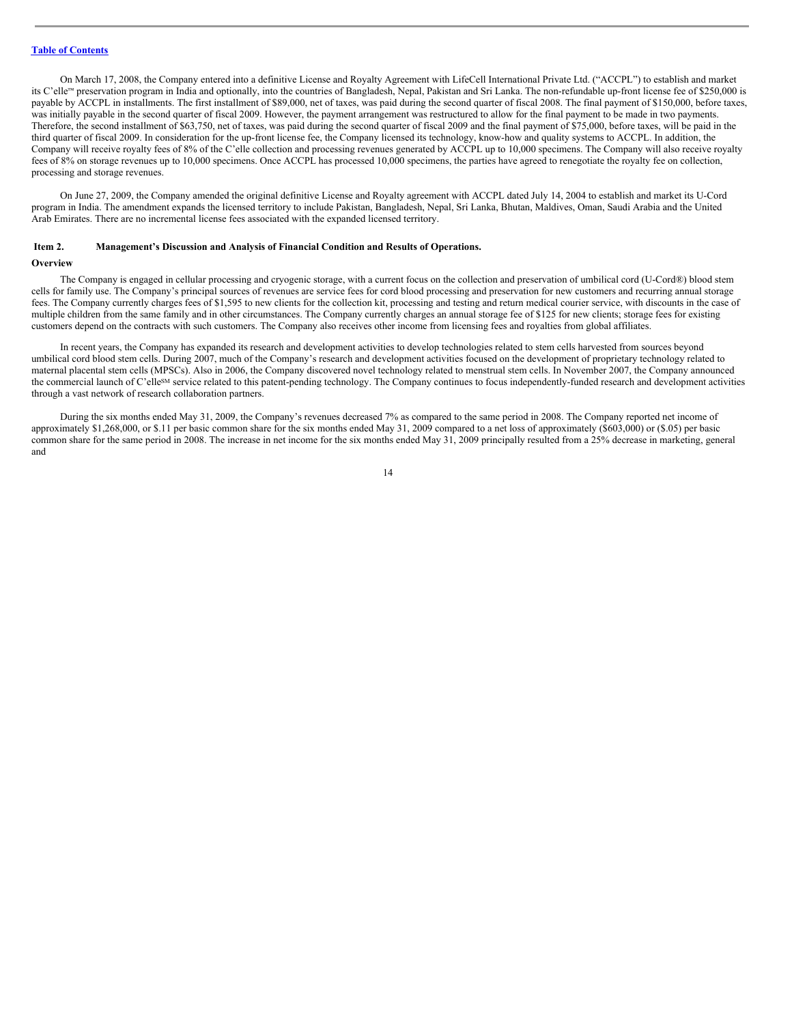On March 17, 2008, the Company entered into a definitive License and Royalty Agreement with LifeCell International Private Ltd. ("ACCPL") to establish and market its C'elle™ preservation program in India and optionally, into the countries of Bangladesh, Nepal, Pakistan and Sri Lanka. The non-refundable up-front license fee of \$250,000 is payable by ACCPL in installments. The first installment of \$89,000, net of taxes, was paid during the second quarter of fiscal 2008. The final payment of \$150,000, before taxes, was initially payable in the second quarter of fiscal 2009. However, the payment arrangement was restructured to allow for the final payment to be made in two payments. Therefore, the second installment of \$63,750, net of taxes, was paid during the second quarter of fiscal 2009 and the final payment of \$75,000, before taxes, will be paid in the third quarter of fiscal 2009. In consideration for the up-front license fee, the Company licensed its technology, know-how and quality systems to ACCPL. In addition, the Company will receive royalty fees of 8% of the C'elle collection and processing revenues generated by ACCPL up to 10,000 specimens. The Company will also receive royalty fees of 8% on storage revenues up to 10,000 specimens. Once ACCPL has processed 10,000 specimens, the parties have agreed to renegotiate the royalty fee on collection, processing and storage revenues.

On June 27, 2009, the Company amended the original definitive License and Royalty agreement with ACCPL dated July 14, 2004 to establish and market its U-Cord program in India. The amendment expands the licensed territory to include Pakistan, Bangladesh, Nepal, Sri Lanka, Bhutan, Maldives, Oman, Saudi Arabia and the United Arab Emirates. There are no incremental license fees associated with the expanded licensed territory.

# <span id="page-13-0"></span>**Item 2. Management's Discussion and Analysis of Financial Condition and Results of Operations.**

#### **Overview**

The Company is engaged in cellular processing and cryogenic storage, with a current focus on the collection and preservation of umbilical cord (U-Cord®) blood stem cells for family use. The Company's principal sources of revenues are service fees for cord blood processing and preservation for new customers and recurring annual storage fees. The Company currently charges fees of \$1,595 to new clients for the collection kit, processing and testing and return medical courier service, with discounts in the case of multiple children from the same family and in other circumstances. The Company currently charges an annual storage fee of \$125 for new clients; storage fees for existing customers depend on the contracts with such customers. The Company also receives other income from licensing fees and royalties from global affiliates.

In recent years, the Company has expanded its research and development activities to develop technologies related to stem cells harvested from sources beyond umbilical cord blood stem cells. During 2007, much of the Company's research and development activities focused on the development of proprietary technology related to maternal placental stem cells (MPSCs). Also in 2006, the Company discovered novel technology related to menstrual stem cells. In November 2007, the Company announced the commercial launch of C'ellesM service related to this patent-pending technology. The Company continues to focus independently-funded research and development activities through a vast network of research collaboration partners.

During the six months ended May 31, 2009, the Company's revenues decreased 7% as compared to the same period in 2008. The Company reported net income of approximately \$1,268,000, or \$.11 per basic common share for the six months ended May 31, 2009 compared to a net loss of approximately (\$603,000) or (\$.05) per basic common share for the same period in 2008. The increase in net income for the six months ended May 31, 2009 principally resulted from a 25% decrease in marketing, general and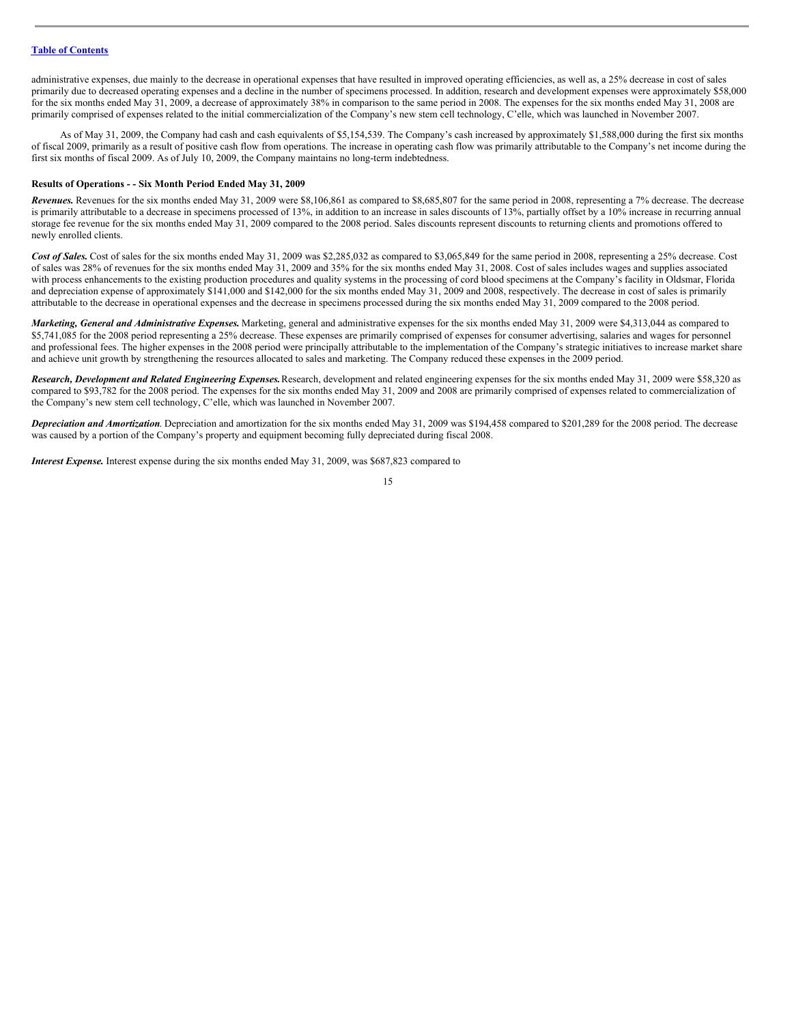administrative expenses, due mainly to the decrease in operational expenses that have resulted in improved operating efficiencies, as well as, a 25% decrease in cost of sales primarily due to decreased operating expenses and a decline in the number of specimens processed. In addition, research and development expenses were approximately \$58,000 for the six months ended May 31, 2009, a decrease of approximately 38% in comparison to the same period in 2008. The expenses for the six months ended May 31, 2008 are primarily comprised of expenses related to the initial commercialization of the Company's new stem cell technology, C'elle, which was launched in November 2007.

As of May 31, 2009, the Company had cash and cash equivalents of \$5,154,539. The Company's cash increased by approximately \$1,588,000 during the first six months of fiscal 2009, primarily as a result of positive cash flow from operations. The increase in operating cash flow was primarily attributable to the Company's net income during the first six months of fiscal 2009. As of July 10, 2009, the Company maintains no long-term indebtedness.

#### **Results of Operations - - Six Month Period Ended May 31, 2009**

*Revenues.* Revenues for the six months ended May 31, 2009 were \$8,106,861 as compared to \$8,685,807 for the same period in 2008, representing a 7% decrease. The decrease is primarily attributable to a decrease in specimens processed of 13%, in addition to an increase in sales discounts of 13%, partially offset by a 10% increase in recurring annual storage fee revenue for the six months ended May 31, 2009 compared to the 2008 period. Sales discounts represent discounts to returning clients and promotions offered to newly enrolled clients.

Cost of Sales. Cost of sales for the six months ended May 31, 2009 was \$2,285,032 as compared to \$3,065,849 for the same period in 2008, representing a 25% decrease. Cost of sales was 28% of revenues for the six months ended May 31, 2009 and 35% for the six months ended May 31, 2008. Cost of sales includes wages and supplies associated with process enhancements to the existing production procedures and quality systems in the processing of cord blood specimens at the Company's facility in Oldsmar, Florida and depreciation expense of approximately \$141,000 and \$142,000 for the six months ended May 31, 2009 and 2008, respectively. The decrease in cost of sales is primarily attributable to the decrease in operational expenses and the decrease in specimens processed during the six months ended May 31, 2009 compared to the 2008 period.

*Marketing, General and Administrative Expenses.* Marketing, general and administrative expenses for the six months ended May 31, 2009 were \$4,313,044 as compared to \$5,741,085 for the 2008 period representing a 25% decrease. These expenses are primarily comprised of expenses for consumer advertising, salaries and wages for personnel and professional fees. The higher expenses in the 2008 period were principally attributable to the implementation of the Company's strategic initiatives to increase market share and achieve unit growth by strengthening the resources allocated to sales and marketing. The Company reduced these expenses in the 2009 period.

*Research, Development and Related Engineering Expenses.*Research, development and related engineering expenses for the six months ended May 31, 2009 were \$58,320 as compared to \$93,782 for the 2008 period. The expenses for the six months ended May 31, 2009 and 2008 are primarily comprised of expenses related to commercialization of the Company's new stem cell technology, C'elle, which was launched in November 2007.

*Depreciation and Amortization*. Depreciation and amortization for the six months ended May 31, 2009 was \$194,458 compared to \$201,289 for the 2008 period. The decrease was caused by a portion of the Company's property and equipment becoming fully depreciated during fiscal 2008.

*Interest Expense*. Interest expense during the six months ended May 31, 2009, was \$687,823 compared to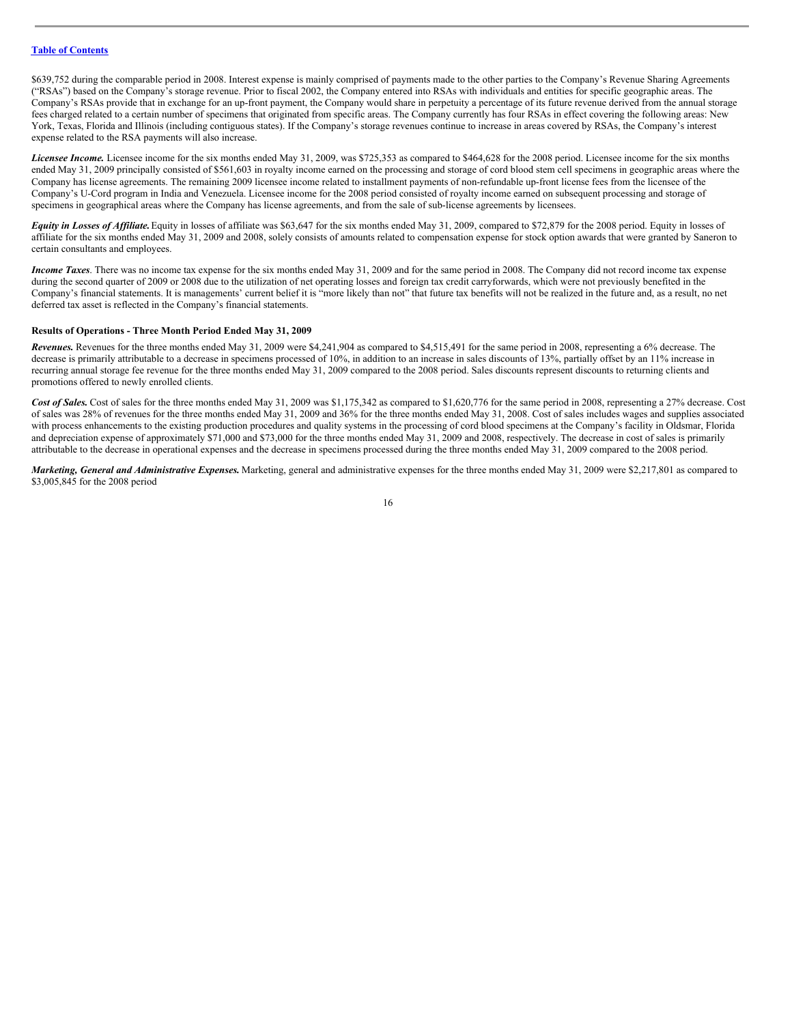\$639,752 during the comparable period in 2008. Interest expense is mainly comprised of payments made to the other parties to the Company's Revenue Sharing Agreements ("RSAs") based on the Company's storage revenue. Prior to fiscal 2002, the Company entered into RSAs with individuals and entities for specific geographic areas. The Company's RSAs provide that in exchange for an up-front payment, the Company would share in perpetuity a percentage of its future revenue derived from the annual storage fees charged related to a certain number of specimens that originated from specific areas. The Company currently has four RSAs in effect covering the following areas: New York, Texas, Florida and Illinois (including contiguous states). If the Company's storage revenues continue to increase in areas covered by RSAs, the Company's interest expense related to the RSA payments will also increase.

*Licensee Income.* Licensee income for the six months ended May 31, 2009, was \$725,353 as compared to \$464,628 for the 2008 period. Licensee income for the six months ended May 31, 2009 principally consisted of \$561,603 in royalty income earned on the processing and storage of cord blood stem cell specimens in geographic areas where the Company has license agreements. The remaining 2009 licensee income related to installment payments of non-refundable up-front license fees from the licensee of the Company's U-Cord program in India and Venezuela. Licensee income for the 2008 period consisted of royalty income earned on subsequent processing and storage of specimens in geographical areas where the Company has license agreements, and from the sale of sub-license agreements by licensees.

*Equity in Losses of Affiliate*. Equity in losses of affiliate was \$63,647 for the six months ended May 31, 2009, compared to \$72,879 for the 2008 period. Equity in losses of affiliate for the six months ended May 31, 2009 and 2008, solely consists of amounts related to compensation expense for stock option awards that were granted by Saneron to certain consultants and employees.

*Income Taxes*. There was no income tax expense for the six months ended May 31, 2009 and for the same period in 2008. The Company did not record income tax expense during the second quarter of 2009 or 2008 due to the utilization of net operating losses and foreign tax credit carryforwards, which were not previously benefited in the Company's financial statements. It is managements' current belief it is "more likely than not" that future tax benefits will not be realized in the future and, as a result, no net deferred tax asset is reflected in the Company's financial statements.

#### **Results of Operations - Three Month Period Ended May 31, 2009**

*Revenues.* Revenues for the three months ended May 31, 2009 were \$4,241,904 as compared to \$4,515,491 for the same period in 2008, representing a 6% decrease. The decrease is primarily attributable to a decrease in specimens processed of 10%, in addition to an increase in sales discounts of 13%, partially offset by an 11% increase in recurring annual storage fee revenue for the three months ended May 31, 2009 compared to the 2008 period. Sales discounts represent discounts to returning clients and promotions offered to newly enrolled clients.

Cost of Sales. Cost of sales for the three months ended May 31, 2009 was \$1,175,342 as compared to \$1,620,776 for the same period in 2008, representing a 27% decrease. Cost of sales was 28% of revenues for the three months ended May 31, 2009 and 36% for the three months ended May 31, 2008. Cost of sales includes wages and supplies associated with process enhancements to the existing production procedures and quality systems in the processing of cord blood specimens at the Company's facility in Oldsmar, Florida and depreciation expense of approximately \$71,000 and \$73,000 for the three months ended May 31, 2009 and 2008, respectively. The decrease in cost of sales is primarily attributable to the decrease in operational expenses and the decrease in specimens processed during the three months ended May 31, 2009 compared to the 2008 period.

*Marketing, General and Administrative Expenses.* Marketing, general and administrative expenses for the three months ended May 31, 2009 were \$2,217,801 as compared to \$3,005,845 for the 2008 period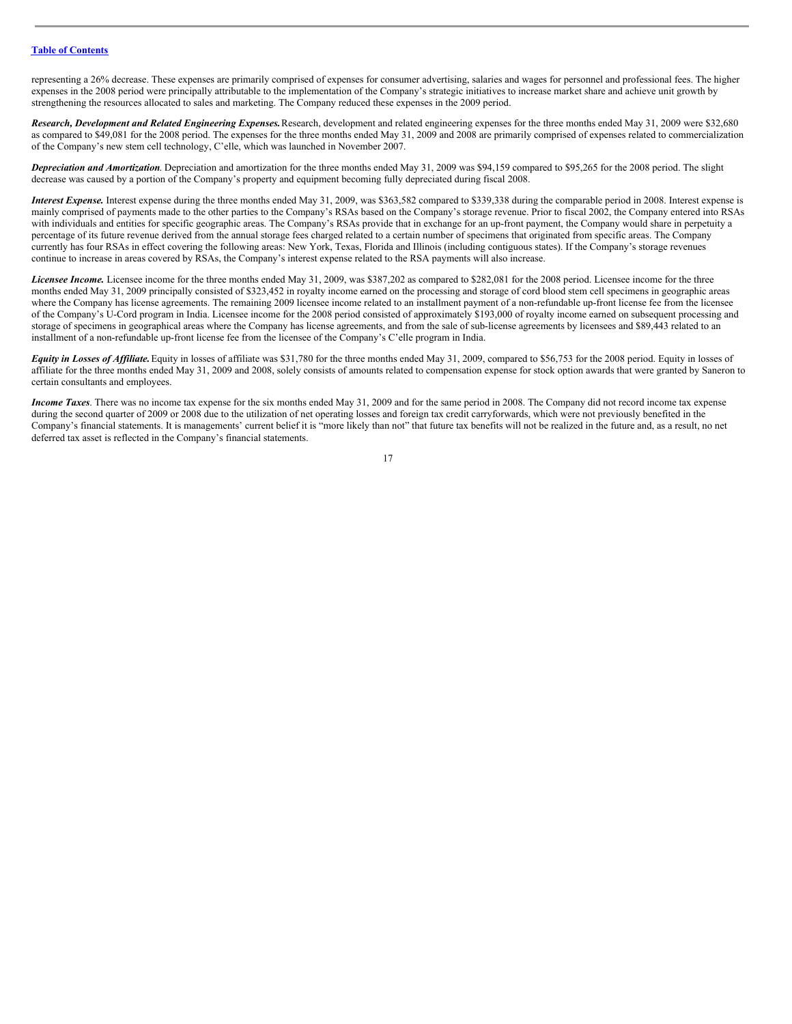representing a 26% decrease. These expenses are primarily comprised of expenses for consumer advertising, salaries and wages for personnel and professional fees. The higher expenses in the 2008 period were principally attributable to the implementation of the Company's strategic initiatives to increase market share and achieve unit growth by strengthening the resources allocated to sales and marketing. The Company reduced these expenses in the 2009 period.

*Research, Development and Related Engineering Expenses.*Research, development and related engineering expenses for the three months ended May 31, 2009 were \$32,680 as compared to \$49,081 for the 2008 period. The expenses for the three months ended May 31, 2009 and 2008 are primarily comprised of expenses related to commercialization of the Company's new stem cell technology, C'elle, which was launched in November 2007.

*Depreciation and Amortization*. Depreciation and amortization for the three months ended May 31, 2009 was \$94,159 compared to \$95,265 for the 2008 period. The slight decrease was caused by a portion of the Company's property and equipment becoming fully depreciated during fiscal 2008.

*Interest Expense.* Interest expense during the three months ended May 31, 2009, was \$363,582 compared to \$339,338 during the comparable period in 2008. Interest expense is mainly comprised of payments made to the other parties to the Company's RSAs based on the Company's storage revenue. Prior to fiscal 2002, the Company entered into RSAs with individuals and entities for specific geographic areas. The Company's RSAs provide that in exchange for an up-front payment, the Company would share in perpetuity a percentage of its future revenue derived from the annual storage fees charged related to a certain number of specimens that originated from specific areas. The Company currently has four RSAs in effect covering the following areas: New York, Texas, Florida and Illinois (including contiguous states). If the Company's storage revenues continue to increase in areas covered by RSAs, the Company's interest expense related to the RSA payments will also increase.

*Licensee Income.* Licensee income for the three months ended May 31, 2009, was \$387,202 as compared to \$282,081 for the 2008 period. Licensee income for the three months ended May 31, 2009 principally consisted of \$323,452 in royalty income earned on the processing and storage of cord blood stem cell specimens in geographic areas where the Company has license agreements. The remaining 2009 licensee income related to an installment payment of a non-refundable up-front license fee from the licensee of the Company's U-Cord program in India. Licensee income for the 2008 period consisted of approximately \$193,000 of royalty income earned on subsequent processing and storage of specimens in geographical areas where the Company has license agreements, and from the sale of sub-license agreements by licensees and \$89,443 related to an installment of a non-refundable up-front license fee from the licensee of the Company's C'elle program in India.

*Equity in Losses of Affiliate*. Equity in losses of affiliate was \$31,780 for the three months ended May 31, 2009, compared to \$56,753 for the 2008 period. Equity in losses of affiliate for the three months ended May 31, 2009 and 2008, solely consists of amounts related to compensation expense for stock option awards that were granted by Saneron to certain consultants and employees.

*Income Taxes*. There was no income tax expense for the six months ended May 31, 2009 and for the same period in 2008. The Company did not record income tax expense during the second quarter of 2009 or 2008 due to the utilization of net operating losses and foreign tax credit carryforwards, which were not previously benefited in the Company's financial statements. It is managements' current belief it is "more likely than not" that future tax benefits will not be realized in the future and, as a result, no net deferred tax asset is reflected in the Company's financial statements.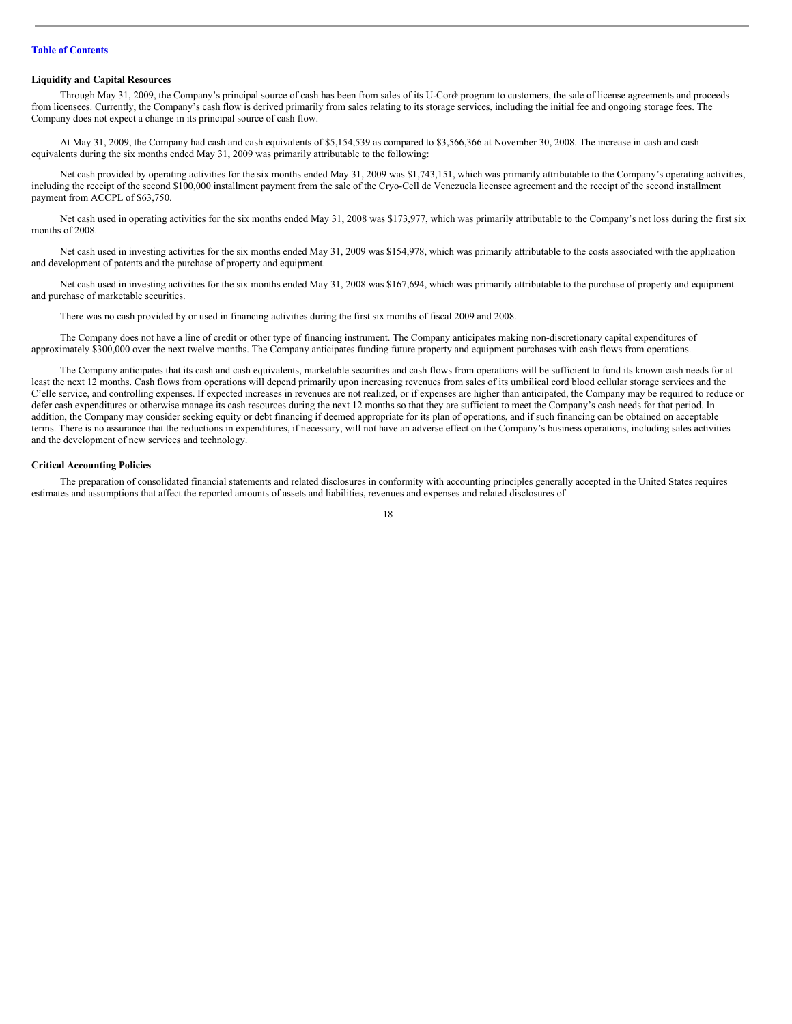## **Liquidity and Capital Resources**

Through May 31, 2009, the Company's principal source of cash has been from sales of its U-Cord program to customers, the sale of license agreements and proceeds ®from licensees. Currently, the Company's cash flow is derived primarily from sales relating to its storage services, including the initial fee and ongoing storage fees. The Company does not expect a change in its principal source of cash flow.

At May 31, 2009, the Company had cash and cash equivalents of \$5,154,539 as compared to \$3,566,366 at November 30, 2008. The increase in cash and cash equivalents during the six months ended May 31, 2009 was primarily attributable to the following:

Net cash provided by operating activities for the six months ended May 31, 2009 was \$1,743,151, which was primarily attributable to the Company's operating activities, including the receipt of the second \$100,000 installment payment from the sale of the Cryo-Cell de Venezuela licensee agreement and the receipt of the second installment payment from ACCPL of \$63,750.

Net cash used in operating activities for the six months ended May 31, 2008 was \$173,977, which was primarily attributable to the Company's net loss during the first six months of 2008.

Net cash used in investing activities for the six months ended May 31, 2009 was \$154,978, which was primarily attributable to the costs associated with the application and development of patents and the purchase of property and equipment.

Net cash used in investing activities for the six months ended May 31, 2008 was \$167,694, which was primarily attributable to the purchase of property and equipment and purchase of marketable securities.

There was no cash provided by or used in financing activities during the first six months of fiscal 2009 and 2008.

The Company does not have a line of credit or other type of financing instrument. The Company anticipates making non-discretionary capital expenditures of approximately \$300,000 over the next twelve months. The Company anticipates funding future property and equipment purchases with cash flows from operations.

The Company anticipates that its cash and cash equivalents, marketable securities and cash flows from operations will be sufficient to fund its known cash needs for at least the next 12 months. Cash flows from operations will depend primarily upon increasing revenues from sales of its umbilical cord blood cellular storage services and the C'elle service, and controlling expenses. If expected increases in revenues are not realized, or if expenses are higher than anticipated, the Company may be required to reduce or defer cash expenditures or otherwise manage its cash resources during the next 12 months so that they are sufficient to meet the Company's cash needs for that period. In addition, the Company may consider seeking equity or debt financing if deemed appropriate for its plan of operations, and if such financing can be obtained on acceptable terms. There is no assurance that the reductions in expenditures, if necessary, will not have an adverse effect on the Company's business operations, including sales activities and the development of new services and technology.

#### **Critical Accounting Policies**

The preparation of consolidated financial statements and related disclosures in conformity with accounting principles generally accepted in the United States requires estimates and assumptions that affect the reported amounts of assets and liabilities, revenues and expenses and related disclosures of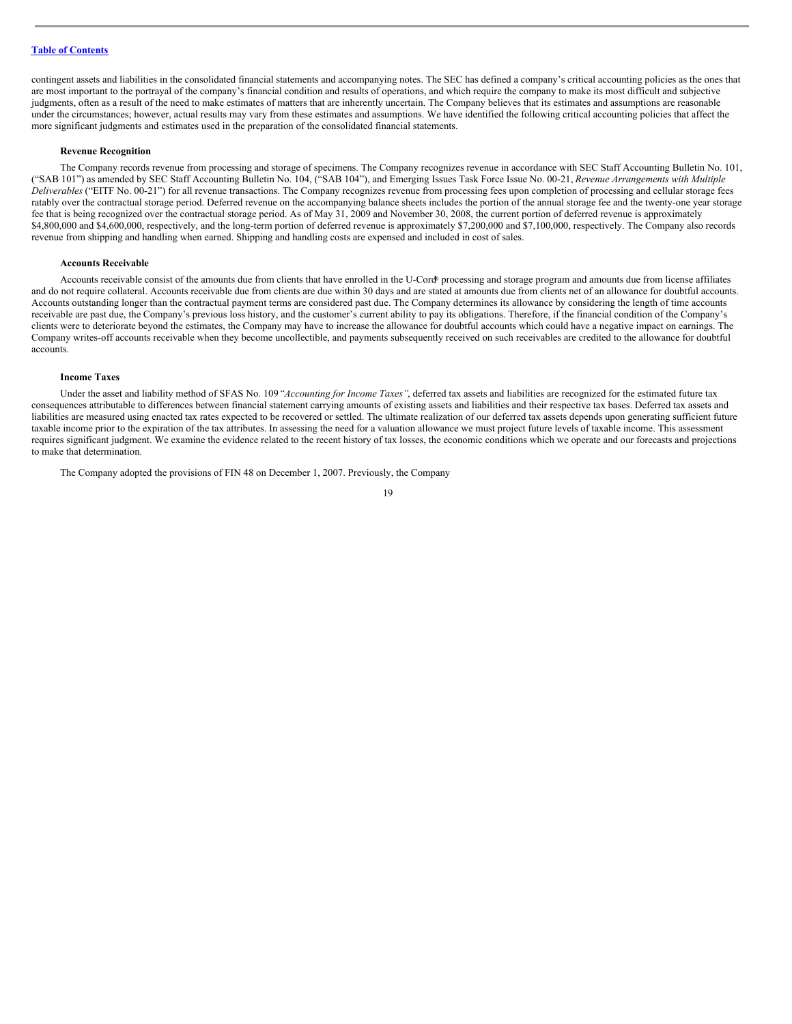contingent assets and liabilities in the consolidated financial statements and accompanying notes. The SEC has defined a company's critical accounting policies as the ones that are most important to the portrayal of the company's financial condition and results of operations, and which require the company to make its most difficult and subjective judgments, often as a result of the need to make estimates of matters that are inherently uncertain. The Company believes that its estimates and assumptions are reasonable under the circumstances; however, actual results may vary from these estimates and assumptions. We have identified the following critical accounting policies that affect the more significant judgments and estimates used in the preparation of the consolidated financial statements.

#### **Revenue Recognition**

The Company records revenue from processing and storage of specimens. The Company recognizes revenue in accordance with SEC Staff Accounting Bulletin No. 101, ("SAB 101") as amended by SEC Staff Accounting Bulletin No. 104, ("SAB 104"), and Emerging Issues Task Force Issue No. 00-21, *Revenue Arrangements with Multiple Deliverables* ("EITF No. 00-21") for all revenue transactions. The Company recognizes revenue from processing fees upon completion of processing and cellular storage fees ratably over the contractual storage period. Deferred revenue on the accompanying balance sheets includes the portion of the annual storage fee and the twenty-one year storage fee that is being recognized over the contractual storage period. As of May 31, 2009 and November 30, 2008, the current portion of deferred revenue is approximately \$4,800,000 and \$4,600,000, respectively, and the long-term portion of deferred revenue is approximately \$7,200,000 and \$7,100,000, respectively. The Company also records revenue from shipping and handling when earned. Shipping and handling costs are expensed and included in cost of sales.

#### **Accounts Receivable**

Accounts receivable consist of the amounts due from clients that have enrolled in the U-Cord<sup>®</sup> processing and storage program and amounts due from license affiliates and do not require collateral. Accounts receivable due from clients are due within 30 days and are stated at amounts due from clients net of an allowance for doubtful accounts. Accounts outstanding longer than the contractual payment terms are considered past due. The Company determines its allowance by considering the length of time accounts receivable are past due, the Company's previous loss history, and the customer's current ability to pay its obligations. Therefore, if the financial condition of the Company's clients were to deteriorate beyond the estimates, the Company may have to increase the allowance for doubtful accounts which could have a negative impact on earnings. The Company writes-off accounts receivable when they become uncollectible, and payments subsequently received on such receivables are credited to the allowance for doubtful accounts.

#### **Income Taxes**

Under the asset and liability method of SFAS No. 109*"Accounting for Income Taxes"*, deferred tax assets and liabilities are recognized for the estimated future tax consequences attributable to differences between financial statement carrying amounts of existing assets and liabilities and their respective tax bases. Deferred tax assets and liabilities are measured using enacted tax rates expected to be recovered or settled. The ultimate realization of our deferred tax assets depends upon generating sufficient future taxable income prior to the expiration of the tax attributes. In assessing the need for a valuation allowance we must project future levels of taxable income. This assessment requires significant judgment. We examine the evidence related to the recent history of tax losses, the economic conditions which we operate and our forecasts and projections to make that determination.

The Company adopted the provisions of FIN 48 on December 1, 2007. Previously, the Company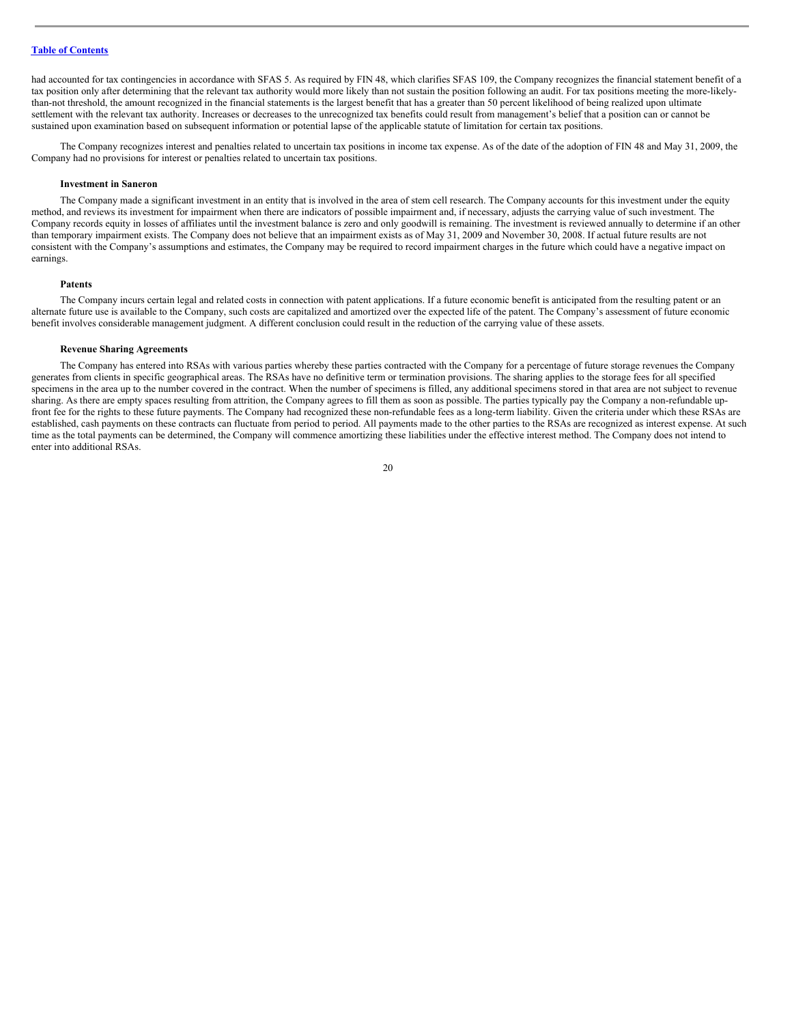had accounted for tax contingencies in accordance with SFAS 5. As required by FIN 48, which clarifies SFAS 109, the Company recognizes the financial statement benefit of a tax position only after determining that the relevant tax authority would more likely than not sustain the position following an audit. For tax positions meeting the more-likelythan-not threshold, the amount recognized in the financial statements is the largest benefit that has a greater than 50 percent likelihood of being realized upon ultimate settlement with the relevant tax authority. Increases or decreases to the unrecognized tax benefits could result from management's belief that a position can or cannot be sustained upon examination based on subsequent information or potential lapse of the applicable statute of limitation for certain tax positions.

The Company recognizes interest and penalties related to uncertain tax positions in income tax expense. As of the date of the adoption of FIN 48 and May 31, 2009, the Company had no provisions for interest or penalties related to uncertain tax positions.

#### **Investment in Saneron**

The Company made a significant investment in an entity that is involved in the area of stem cell research. The Company accounts for this investment under the equity method, and reviews its investment for impairment when there are indicators of possible impairment and, if necessary, adjusts the carrying value of such investment. The Company records equity in losses of affiliates until the investment balance is zero and only goodwill is remaining. The investment is reviewed annually to determine if an other than temporary impairment exists. The Company does not believe that an impairment exists as of May 31, 2009 and November 30, 2008. If actual future results are not consistent with the Company's assumptions and estimates, the Company may be required to record impairment charges in the future which could have a negative impact on earnings.

#### **Patents**

The Company incurs certain legal and related costs in connection with patent applications. If a future economic benefit is anticipated from the resulting patent or an alternate future use is available to the Company, such costs are capitalized and amortized over the expected life of the patent. The Company's assessment of future economic benefit involves considerable management judgment. A different conclusion could result in the reduction of the carrying value of these assets.

### **Revenue Sharing Agreements**

The Company has entered into RSAs with various parties whereby these parties contracted with the Company for a percentage of future storage revenues the Company generates from clients in specific geographical areas. The RSAs have no definitive term or termination provisions. The sharing applies to the storage fees for all specified specimens in the area up to the number covered in the contract. When the number of specimens is filled, any additional specimens stored in that area are not subject to revenue sharing. As there are empty spaces resulting from attrition, the Company agrees to fill them as soon as possible. The parties typically pay the Company a non-refundable upfront fee for the rights to these future payments. The Company had recognized these non-refundable fees as a long-term liability. Given the criteria under which these RSAs are established, cash payments on these contracts can fluctuate from period to period. All payments made to the other parties to the RSAs are recognized as interest expense. At such time as the total payments can be determined, the Company will commence amortizing these liabilities under the effective interest method. The Company does not intend to enter into additional RSAs.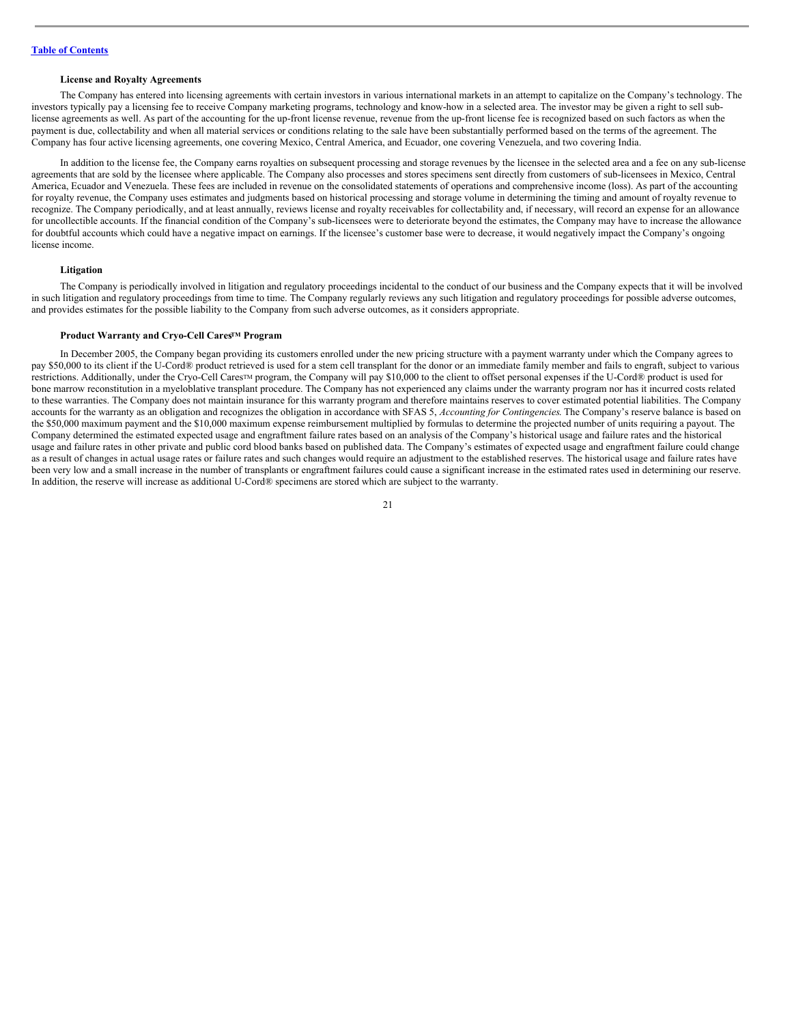## **License and Royalty Agreements**

The Company has entered into licensing agreements with certain investors in various international markets in an attempt to capitalize on the Company's technology. The investors typically pay a licensing fee to receive Company marketing programs, technology and know-how in a selected area. The investor may be given a right to sell sublicense agreements as well. As part of the accounting for the up-front license revenue, revenue from the up-front license fee is recognized based on such factors as when the payment is due, collectability and when all material services or conditions relating to the sale have been substantially performed based on the terms of the agreement. The Company has four active licensing agreements, one covering Mexico, Central America, and Ecuador, one covering Venezuela, and two covering India.

In addition to the license fee, the Company earns royalties on subsequent processing and storage revenues by the licensee in the selected area and a fee on any sub-license agreements that are sold by the licensee where applicable. The Company also processes and stores specimens sent directly from customers of sub-licensees in Mexico, Central America, Ecuador and Venezuela. These fees are included in revenue on the consolidated statements of operations and comprehensive income (loss). As part of the accounting for royalty revenue, the Company uses estimates and judgments based on historical processing and storage volume in determining the timing and amount of royalty revenue to recognize. The Company periodically, and at least annually, reviews license and royalty receivables for collectability and, if necessary, will record an expense for an allowance for uncollectible accounts. If the financial condition of the Company's sub-licensees were to deteriorate beyond the estimates, the Company may have to increase the allowance for doubtful accounts which could have a negative impact on earnings. If the licensee's customer base were to decrease, it would negatively impact the Company's ongoing license income.

### **Litigation**

The Company is periodically involved in litigation and regulatory proceedings incidental to the conduct of our business and the Company expects that it will be involved in such litigation and regulatory proceedings from time to time. The Company regularly reviews any such litigation and regulatory proceedings for possible adverse outcomes, and provides estimates for the possible liability to the Company from such adverse outcomes, as it considers appropriate.

#### **Product Warranty and Cryo-Cell Cares<sup>TM</sup> Program**

In December 2005, the Company began providing its customers enrolled under the new pricing structure with a payment warranty under which the Company agrees to pay \$50,000 to its client if the U-Cord® product retrieved is used for a stem cell transplant for the donor or an immediate family member and fails to engraft, subject to various restrictions. Additionally, under the Cryo-Cell Cares™ program, the Company will pay \$10,000 to the client to offset personal expenses if the U-Cord® product is used for bone marrow reconstitution in a myeloblative transplant procedure. The Company has not experienced any claims under the warranty program nor has it incurred costs related to these warranties. The Company does not maintain insurance for this warranty program and therefore maintains reserves to cover estimated potential liabilities. The Company accounts for the warranty as an obligation and recognizes the obligation in accordance with SFAS 5, *Accounting for Contingencies*. The Company's reserve balance is based on the \$50,000 maximum payment and the \$10,000 maximum expense reimbursement multiplied by formulas to determine the projected number of units requiring a payout. The Company determined the estimated expected usage and engraftment failure rates based on an analysis of the Company's historical usage and failure rates and the historical usage and failure rates in other private and public cord blood banks based on published data. The Company's estimates of expected usage and engraftment failure could change as a result of changes in actual usage rates or failure rates and such changes would require an adjustment to the established reserves. The historical usage and failure rates have been very low and a small increase in the number of transplants or engraftment failures could cause a significant increase in the estimated rates used in determining our reserve. In addition, the reserve will increase as additional U-Cord® specimens are stored which are subject to the warranty.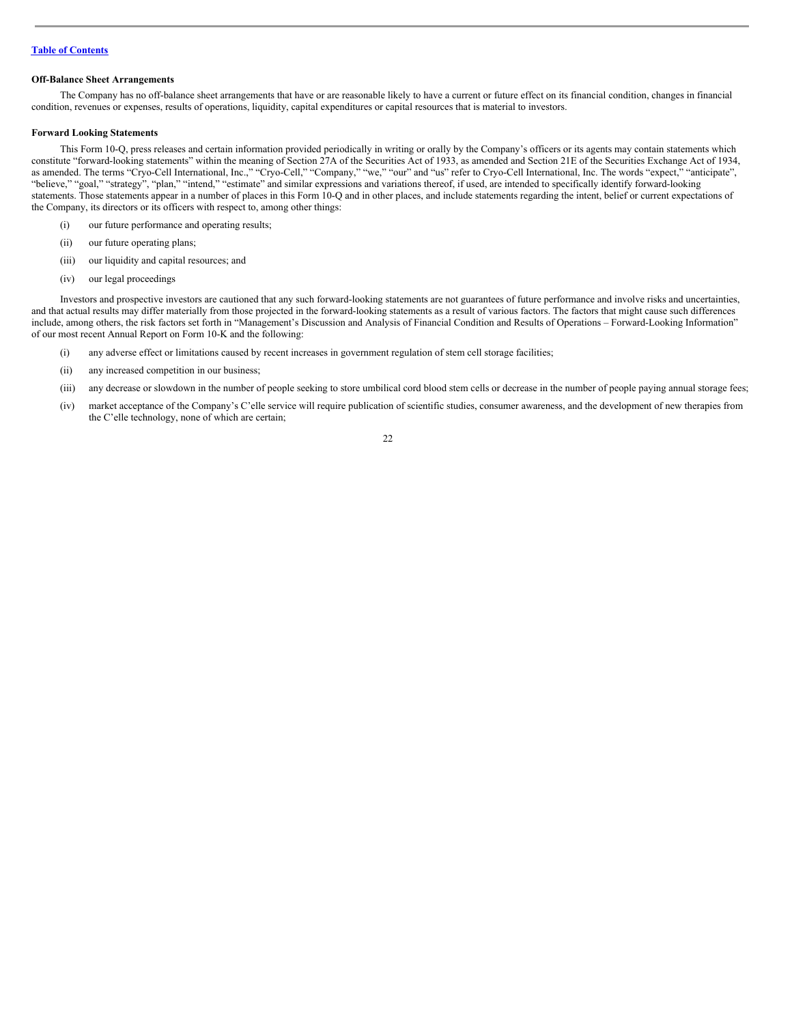### **Off-Balance Sheet Arrangements**

The Company has no off-balance sheet arrangements that have or are reasonable likely to have a current or future effect on its financial condition, changes in financial condition, revenues or expenses, results of operations, liquidity, capital expenditures or capital resources that is material to investors.

### **Forward Looking Statements**

This Form 10-Q, press releases and certain information provided periodically in writing or orally by the Company's officers or its agents may contain statements which constitute "forward-looking statements" within the meaning of Section 27A of the Securities Act of 1933, as amended and Section 21E of the Securities Exchange Act of 1934, as amended. The terms "Cryo-Cell International, Inc.," "Cryo-Cell," "Company," "we," "our" and "us" refer to Cryo-Cell International, Inc. The words "expect," "anticipate", "believe," "goal," "strategy", "plan," "intend," "estimate" and similar expressions and variations thereof, if used, are intended to specifically identify forward-looking statements. Those statements appear in a number of places in this Form 10-Q and in other places, and include statements regarding the intent, belief or current expectations of the Company, its directors or its officers with respect to, among other things:

- (i) our future performance and operating results;
- (ii) our future operating plans;
- (iii) our liquidity and capital resources; and
- (iv) our legal proceedings

Investors and prospective investors are cautioned that any such forward-looking statements are not guarantees of future performance and involve risks and uncertainties, and that actual results may differ materially from those projected in the forward-looking statements as a result of various factors. The factors that might cause such differences include, among others, the risk factors set forth in "Management's Discussion and Analysis of Financial Condition and Results of Operations – Forward-Looking Information" of our most recent Annual Report on Form 10-K and the following:

- (i) any adverse effect or limitations caused by recent increases in government regulation of stem cell storage facilities;
- (ii) any increased competition in our business;
- (iii) any decrease or slowdown in the number of people seeking to store umbilical cord blood stem cells or decrease in the number of people paying annual storage fees;
- (iv) market acceptance of the Company's C'elle service will require publication of scientific studies, consumer awareness, and the development of new therapies from the C'elle technology, none of which are certain;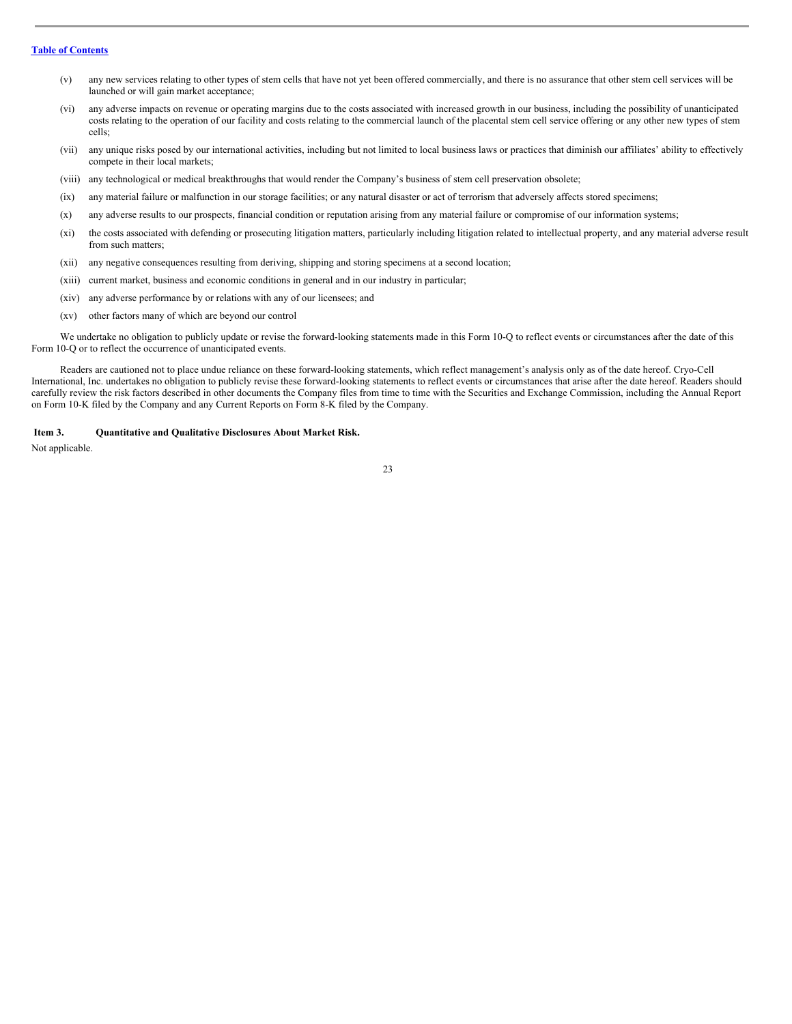- (v) any new services relating to other types of stem cells that have not yet been offered commercially, and there is no assurance that other stem cell services will be launched or will gain market acceptance;
- (vi) any adverse impacts on revenue or operating margins due to the costs associated with increased growth in our business, including the possibility of unanticipated costs relating to the operation of our facility and costs relating to the commercial launch of the placental stem cell service offering or any other new types of stem cells;
- (vii) any unique risks posed by our international activities, including but not limited to local business laws or practices that diminish our affiliates' ability to effectively compete in their local markets;
- (viii) any technological or medical breakthroughs that would render the Company's business of stem cell preservation obsolete;
- (ix) any material failure or malfunction in our storage facilities; or any natural disaster or act of terrorism that adversely affects stored specimens;
- (x) any adverse results to our prospects, financial condition or reputation arising from any material failure or compromise of our information systems;
- (xi) the costs associated with defending or prosecuting litigation matters, particularly including litigation related to intellectual property, and any material adverse result from such matters;
- (xii) any negative consequences resulting from deriving, shipping and storing specimens at a second location;
- (xiii) current market, business and economic conditions in general and in our industry in particular;
- (xiv) any adverse performance by or relations with any of our licensees; and
- (xv) other factors many of which are beyond our control

We undertake no obligation to publicly update or revise the forward-looking statements made in this Form 10-Q to reflect events or circumstances after the date of this Form 10-Q or to reflect the occurrence of unanticipated events.

Readers are cautioned not to place undue reliance on these forward-looking statements, which reflect management's analysis only as of the date hereof. Cryo-Cell International, Inc. undertakes no obligation to publicly revise these forward-looking statements to reflect events or circumstances that arise after the date hereof. Readers should carefully review the risk factors described in other documents the Company files from time to time with the Securities and Exchange Commission, including the Annual Report on Form 10-K filed by the Company and any Current Reports on Form 8-K filed by the Company.

<span id="page-22-0"></span>**Item 3. Quantitative and Qualitative Disclosures About Market Risk.**

Not applicable.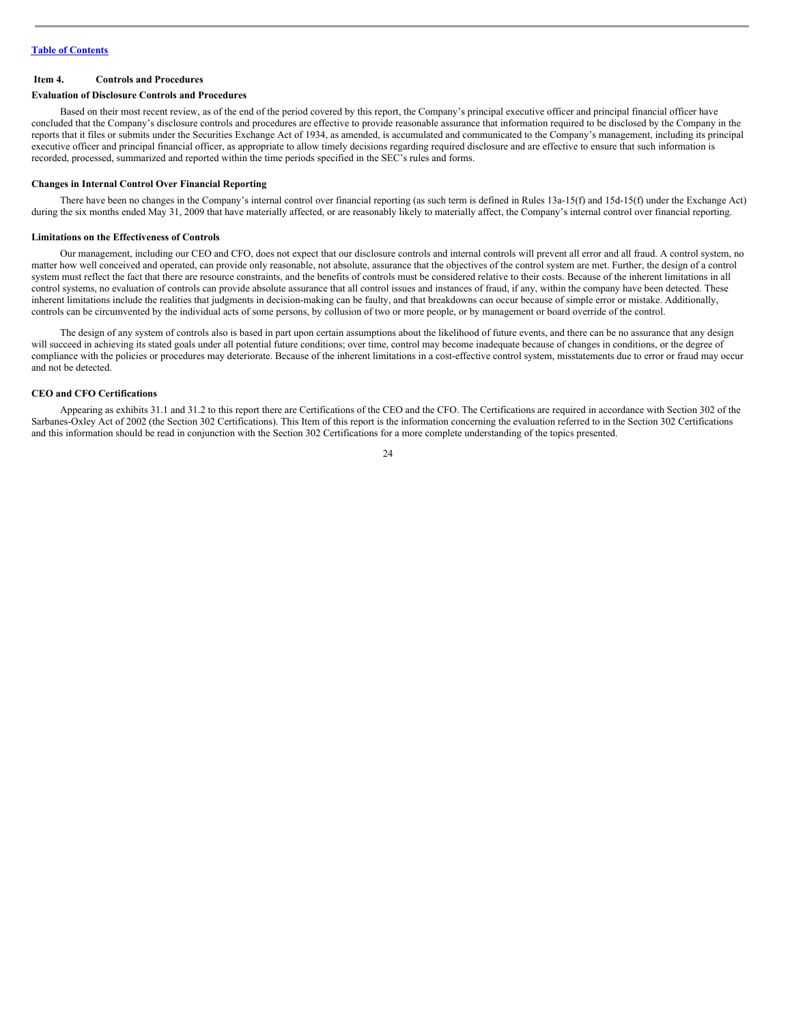### <span id="page-23-0"></span>**Item 4. Controls and Procedures**

#### **Evaluation of Disclosure Controls and Procedures**

Based on their most recent review, as of the end of the period covered by this report, the Company's principal executive officer and principal financial officer have concluded that the Company's disclosure controls and procedures are effective to provide reasonable assurance that information required to be disclosed by the Company in the reports that it files or submits under the Securities Exchange Act of 1934, as amended, is accumulated and communicated to the Company's management, including its principal executive officer and principal financial officer, as appropriate to allow timely decisions regarding required disclosure and are effective to ensure that such information is recorded, processed, summarized and reported within the time periods specified in the SEC's rules and forms.

### **Changes in Internal Control Over Financial Reporting**

There have been no changes in the Company's internal control over financial reporting (as such term is defined in Rules 13a-15(f) and 15d-15(f) under the Exchange Act) during the six months ended May 31, 2009 that have materially affected, or are reasonably likely to materially affect, the Company's internal control over financial reporting.

#### **Limitations on the Effectiveness of Controls**

Our management, including our CEO and CFO, does not expect that our disclosure controls and internal controls will prevent all error and all fraud. A control system, no matter how well conceived and operated, can provide only reasonable, not absolute, assurance that the objectives of the control system are met. Further, the design of a control system must reflect the fact that there are resource constraints, and the benefits of controls must be considered relative to their costs. Because of the inherent limitations in all control systems, no evaluation of controls can provide absolute assurance that all control issues and instances of fraud, if any, within the company have been detected. These inherent limitations include the realities that judgments in decision-making can be faulty, and that breakdowns can occur because of simple error or mistake. Additionally, controls can be circumvented by the individual acts of some persons, by collusion of two or more people, or by management or board override of the control.

The design of any system of controls also is based in part upon certain assumptions about the likelihood of future events, and there can be no assurance that any design will succeed in achieving its stated goals under all potential future conditions; over time, control may become inadequate because of changes in conditions, or the degree of compliance with the policies or procedures may deteriorate. Because of the inherent limitations in a cost-effective control system, misstatements due to error or fraud may occur and not be detected.

# **CEO and CFO Certifications**

Appearing as exhibits 31.1 and 31.2 to this report there are Certifications of the CEO and the CFO. The Certifications are required in accordance with Section 302 of the Sarbanes-Oxley Act of 2002 (the Section 302 Certifications). This Item of this report is the information concerning the evaluation referred to in the Section 302 Certifications and this information should be read in conjunction with the Section 302 Certifications for a more complete understanding of the topics presented.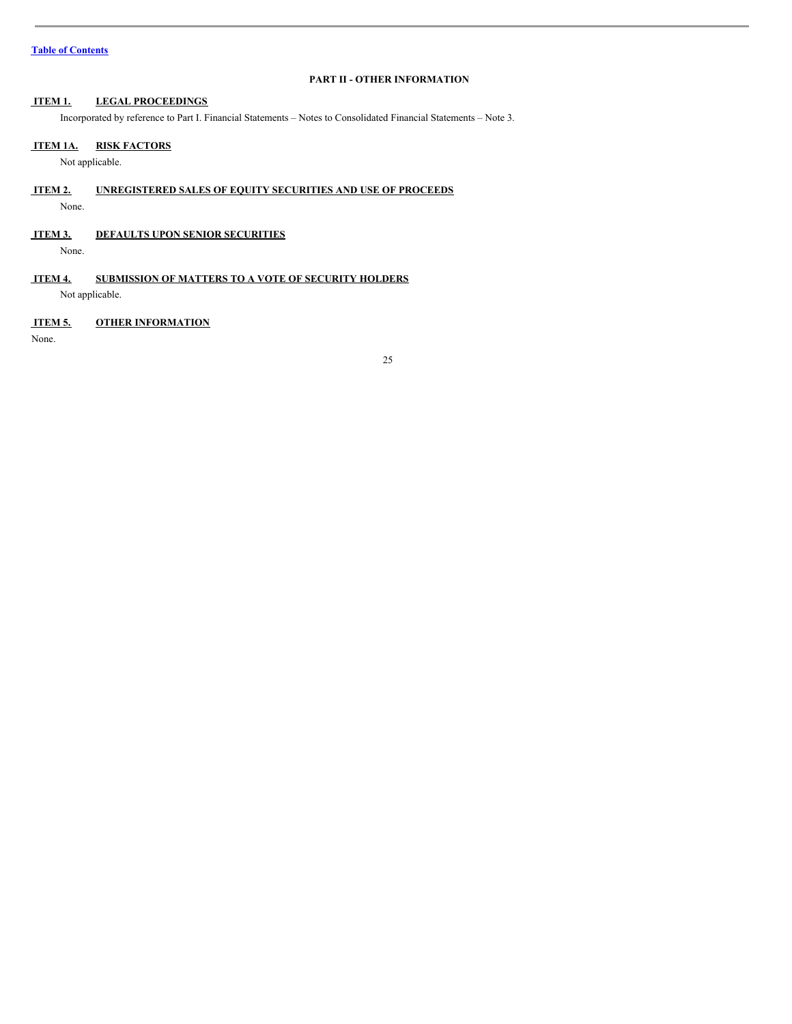# <span id="page-24-0"></span>**PART II - OTHER INFORMATION**

# <span id="page-24-1"></span>**ITEM 1. LEGAL PROCEEDINGS**

Incorporated by reference to Part I. Financial Statements – Notes to Consolidated Financial Statements – Note 3.

# <span id="page-24-2"></span>**ITEM 1A. RISK FACTORS**

Not applicable.

- <span id="page-24-3"></span>**ITEM 2. UNREGISTERED SALES OF EQUITY SECURITIES AND USE OF PROCEEDS**
- None.
- <span id="page-24-4"></span>**ITEM 3. DEFAULTS UPON SENIOR SECURITIES**

None.

<span id="page-24-5"></span>**ITEM 4. SUBMISSION OF MATTERS TO A VOTE OF SECURITY HOLDERS**

Not applicable.

# <span id="page-24-6"></span>**ITEM 5. OTHER INFORMATION**

None.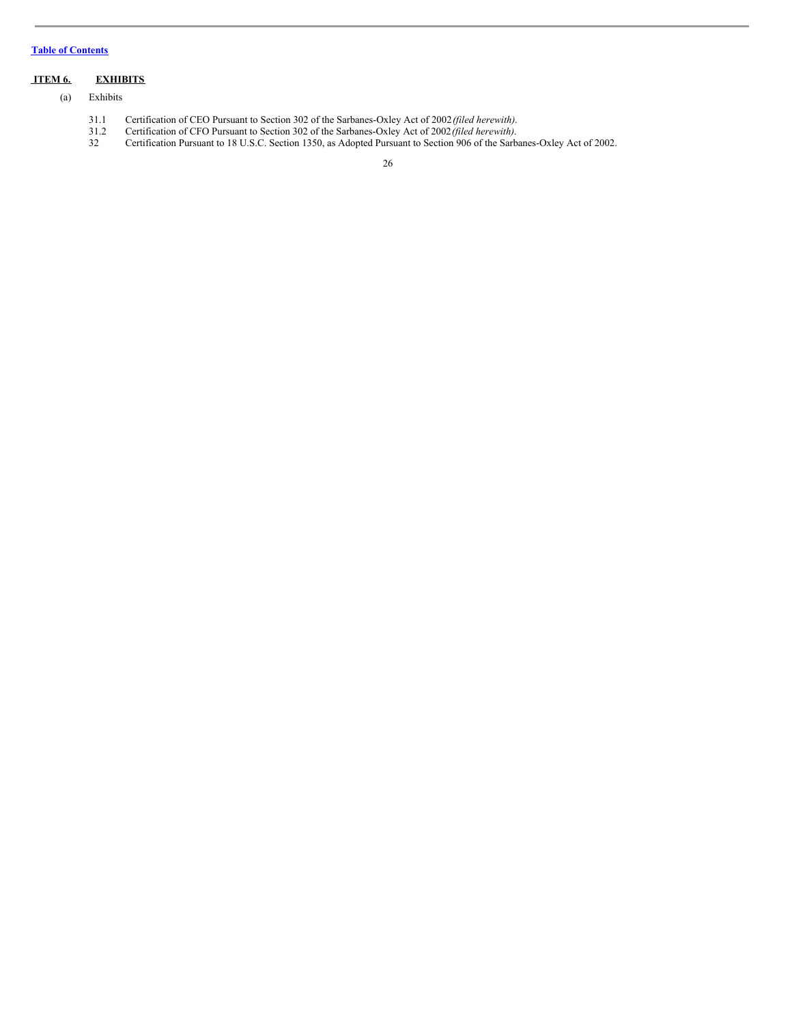# <span id="page-25-0"></span>**ITEM 6. EXHIBITS**

- (a) Exhibits
	- 31.1 Certification of CEO Pursuant to Section 302 of the Sarbanes-Oxley Act of 2002*(filed herewith)*.
	- 31.2 Certification of CFO Pursuant to Section 302 of the Sarbanes-Oxley Act of 2002*(filed herewith)*.
	- 32 Certification Pursuant to 18 U.S.C. Section 1350, as Adopted Pursuant to Section 906 of the Sarbanes-Oxley Act of 2002.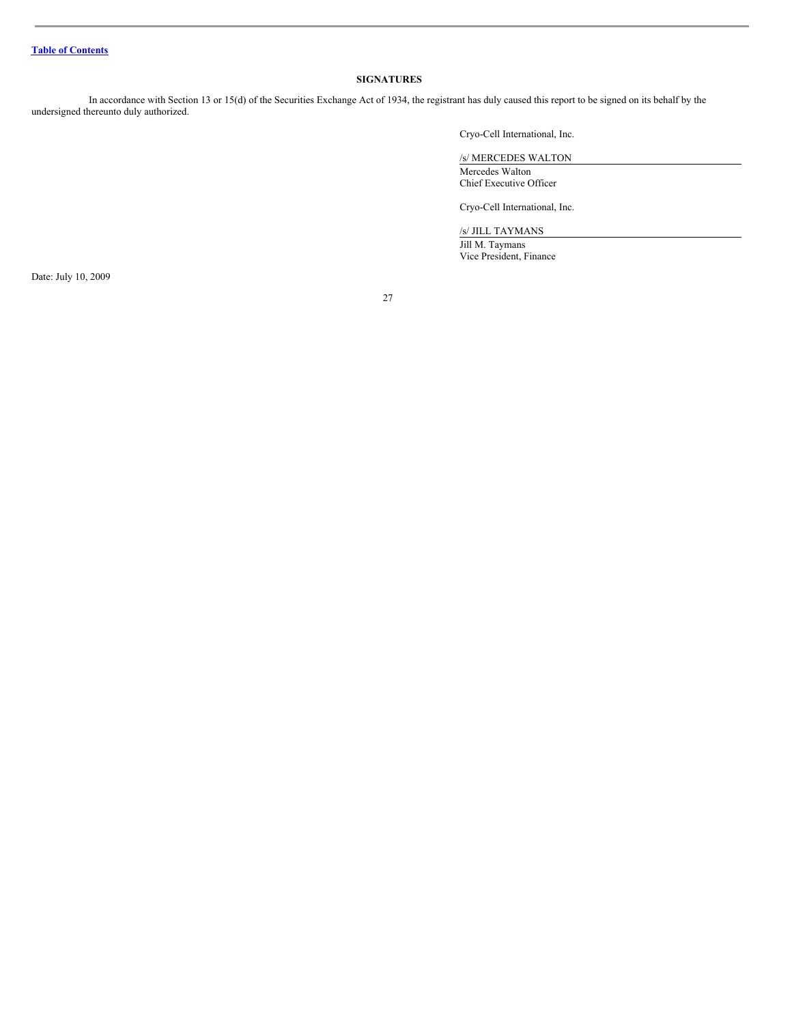# <span id="page-26-0"></span>**SIGNATURES**

In accordance with Section 13 or 15(d) of the Securities Exchange Act of 1934, the registrant has duly caused this report to be signed on its behalf by the undersigned thereunto duly authorized.

Cryo-Cell International, Inc.

/s/ MERCEDES WALTON Mercedes Walton Chief Executive Officer

Cryo-Cell International, Inc.

/s/ JILL TAYMANS

Jill M. Taymans Vice President, Finance

Date: July 10, 2009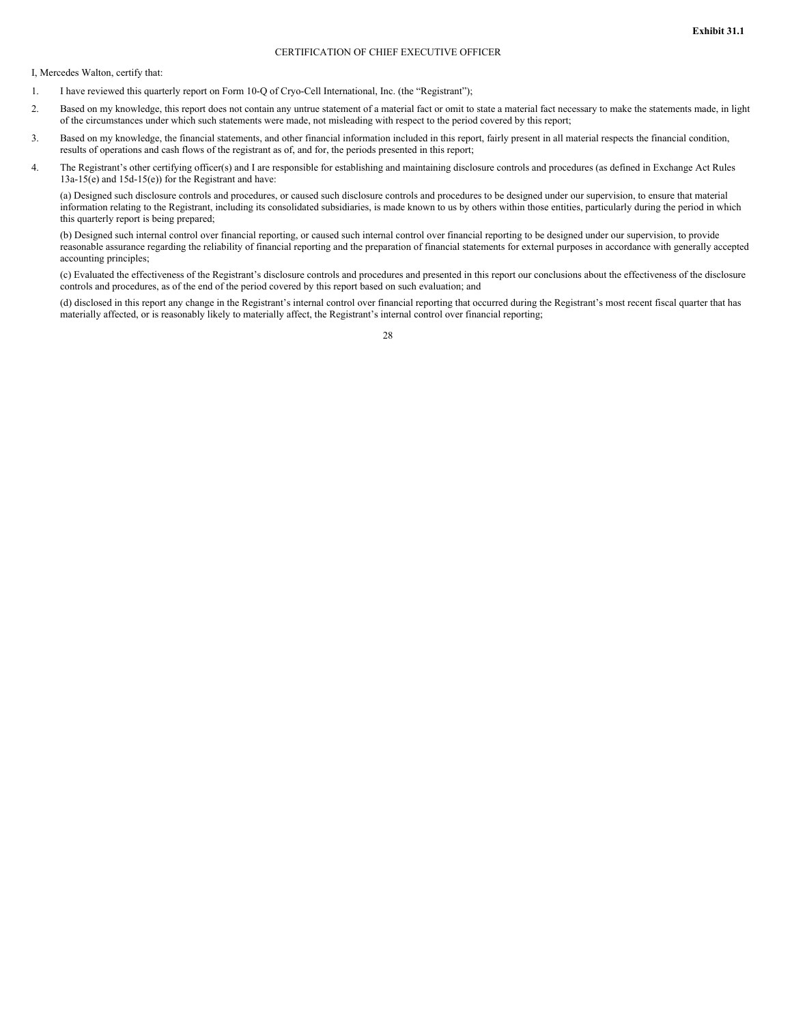# CERTIFICATION OF CHIEF EXECUTIVE OFFICER

I, Mercedes Walton, certify that:

- 1. I have reviewed this quarterly report on Form 10-Q of Cryo-Cell International, Inc. (the "Registrant");
- 2. Based on my knowledge, this report does not contain any untrue statement of a material fact or omit to state a material fact necessary to make the statements made, in light of the circumstances under which such statements were made, not misleading with respect to the period covered by this report;
- 3. Based on my knowledge, the financial statements, and other financial information included in this report, fairly present in all material respects the financial condition, results of operations and cash flows of the registrant as of, and for, the periods presented in this report;
- 4. The Registrant's other certifying officer(s) and I are responsible for establishing and maintaining disclosure controls and procedures (as defined in Exchange Act Rules 13a-15(e) and 15d-15(e)) for the Registrant and have:

(a) Designed such disclosure controls and procedures, or caused such disclosure controls and procedures to be designed under our supervision, to ensure that material information relating to the Registrant, including its consolidated subsidiaries, is made known to us by others within those entities, particularly during the period in which this quarterly report is being prepared;

(b) Designed such internal control over financial reporting, or caused such internal control over financial reporting to be designed under our supervision, to provide reasonable assurance regarding the reliability of financial reporting and the preparation of financial statements for external purposes in accordance with generally accepted accounting principles;

(c) Evaluated the effectiveness of the Registrant's disclosure controls and procedures and presented in this report our conclusions about the effectiveness of the disclosure controls and procedures, as of the end of the period covered by this report based on such evaluation; and

(d) disclosed in this report any change in the Registrant's internal control over financial reporting that occurred during the Registrant's most recent fiscal quarter that has materially affected, or is reasonably likely to materially affect, the Registrant's internal control over financial reporting;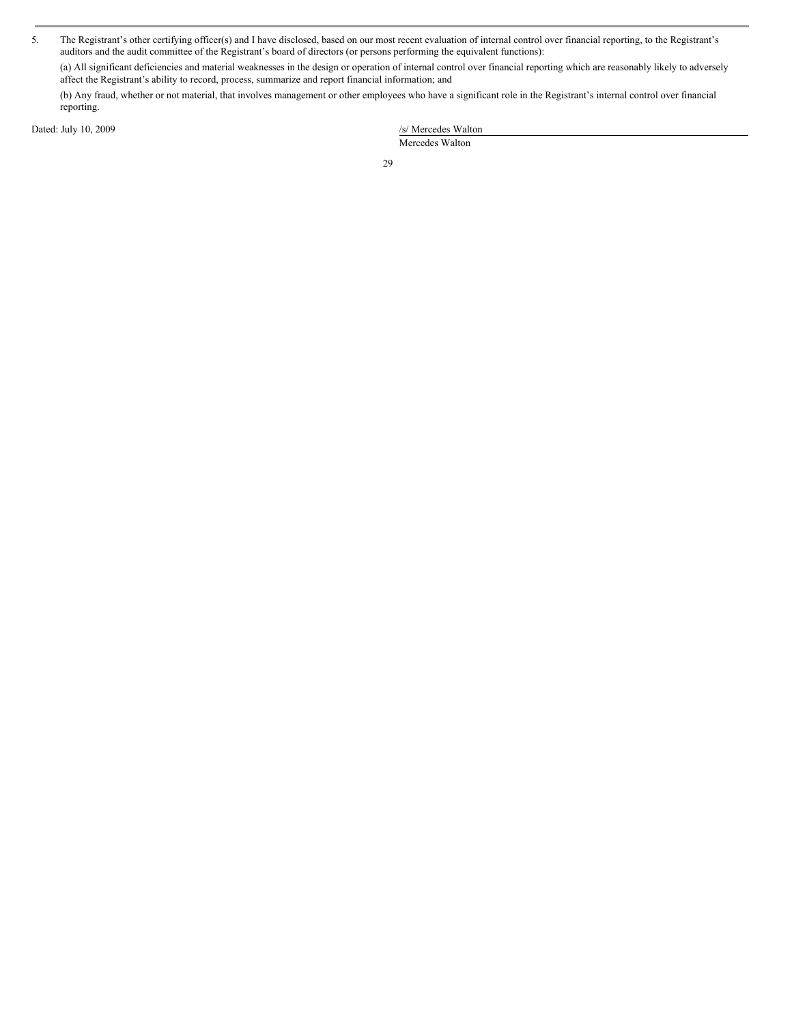5. The Registrant's other certifying officer(s) and I have disclosed, based on our most recent evaluation of internal control over financial reporting, to the Registrant's auditors and the audit committee of the Registrant's board of directors (or persons performing the equivalent functions):

(a) All significant deficiencies and material weaknesses in the design or operation of internal control over financial reporting which are reasonably likely to adversely affect the Registrant's ability to record, process, summarize and report financial information; and

(b) Any fraud, whether or not material, that involves management or other employees who have a significant role in the Registrant's internal control over financial reporting.

Dated: July 10, 2009

| /s/ Mercedes Walton |  |
|---------------------|--|
| Mercedes Walton     |  |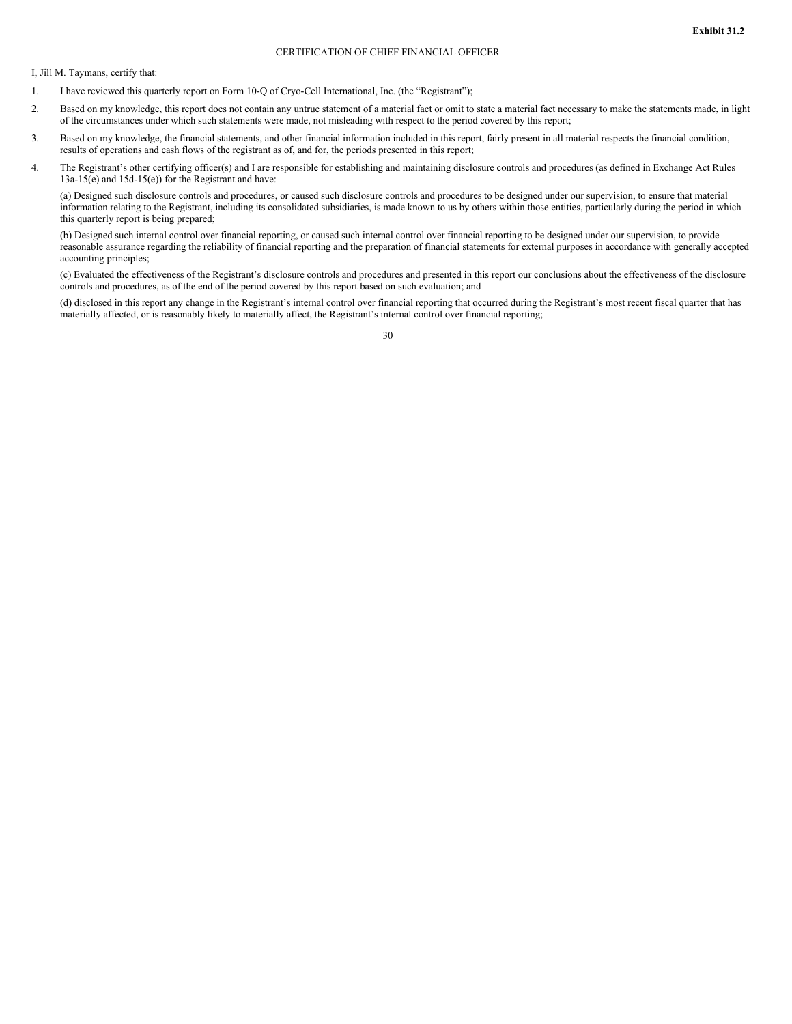# CERTIFICATION OF CHIEF FINANCIAL OFFICER

I, Jill M. Taymans, certify that:

- 1. I have reviewed this quarterly report on Form 10-Q of Cryo-Cell International, Inc. (the "Registrant");
- 2. Based on my knowledge, this report does not contain any untrue statement of a material fact or omit to state a material fact necessary to make the statements made, in light of the circumstances under which such statements were made, not misleading with respect to the period covered by this report;
- 3. Based on my knowledge, the financial statements, and other financial information included in this report, fairly present in all material respects the financial condition, results of operations and cash flows of the registrant as of, and for, the periods presented in this report;
- 4. The Registrant's other certifying officer(s) and I are responsible for establishing and maintaining disclosure controls and procedures (as defined in Exchange Act Rules 13a-15(e) and 15d-15(e)) for the Registrant and have:

(a) Designed such disclosure controls and procedures, or caused such disclosure controls and procedures to be designed under our supervision, to ensure that material information relating to the Registrant, including its consolidated subsidiaries, is made known to us by others within those entities, particularly during the period in which this quarterly report is being prepared;

(b) Designed such internal control over financial reporting, or caused such internal control over financial reporting to be designed under our supervision, to provide reasonable assurance regarding the reliability of financial reporting and the preparation of financial statements for external purposes in accordance with generally accepted accounting principles;

(c) Evaluated the effectiveness of the Registrant's disclosure controls and procedures and presented in this report our conclusions about the effectiveness of the disclosure controls and procedures, as of the end of the period covered by this report based on such evaluation; and

(d) disclosed in this report any change in the Registrant's internal control over financial reporting that occurred during the Registrant's most recent fiscal quarter that has materially affected, or is reasonably likely to materially affect, the Registrant's internal control over financial reporting;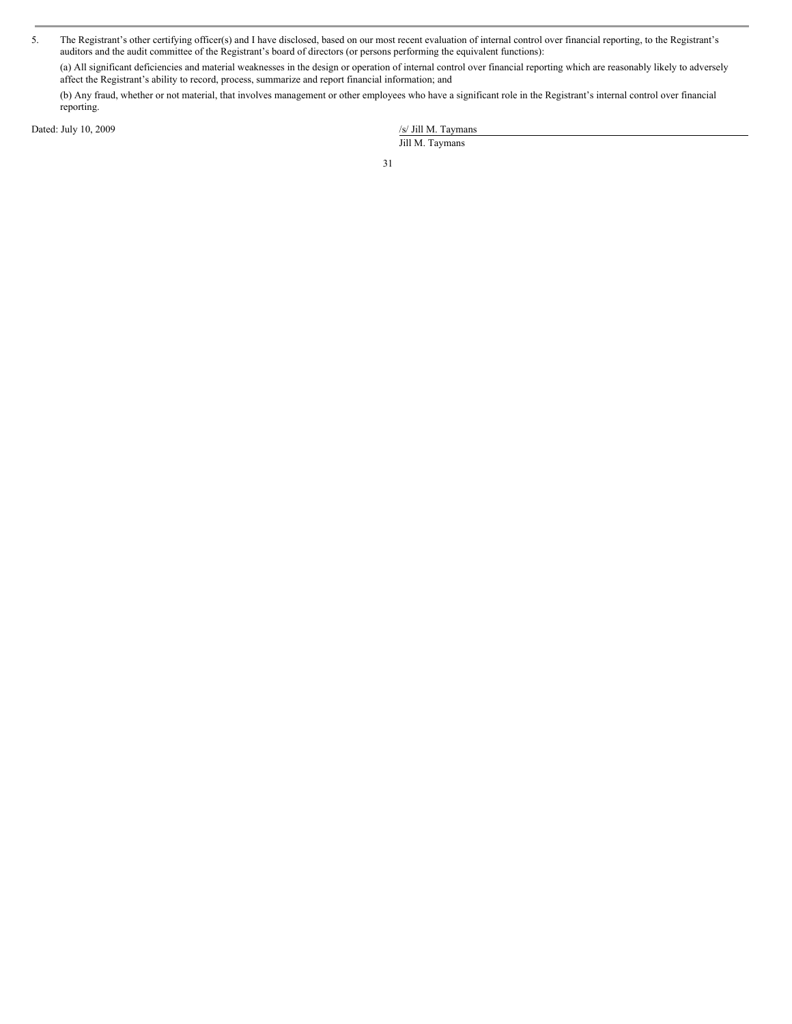5. The Registrant's other certifying officer(s) and I have disclosed, based on our most recent evaluation of internal control over financial reporting, to the Registrant's auditors and the audit committee of the Registrant's board of directors (or persons performing the equivalent functions):

(a) All significant deficiencies and material weaknesses in the design or operation of internal control over financial reporting which are reasonably likely to adversely affect the Registrant's ability to record, process, summarize and report financial information; and

(b) Any fraud, whether or not material, that involves management or other employees who have a significant role in the Registrant's internal control over financial reporting.

Dated: July 10, 2009

| /s/ Jill M. Taymans |  |
|---------------------|--|
| Jill M. Taymans     |  |